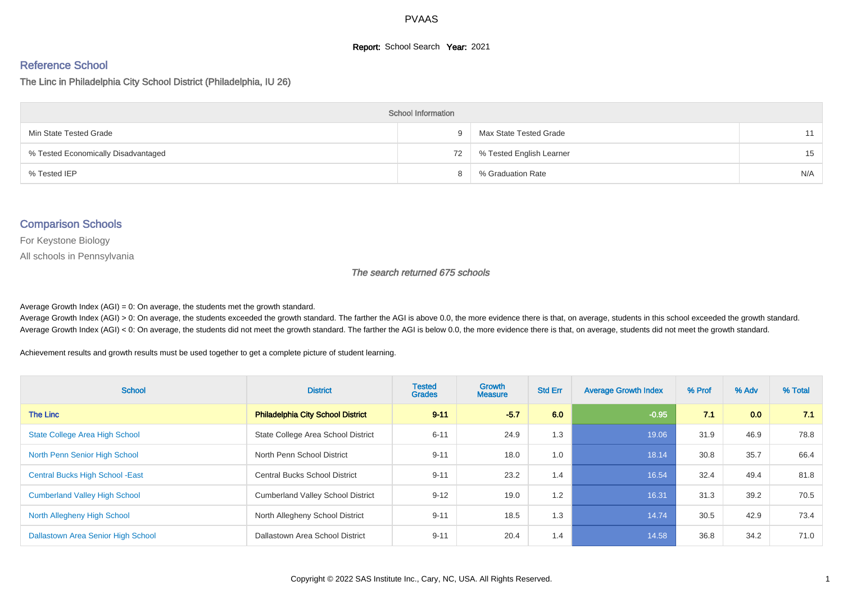### **Report:** School Search **Year:** 2021

# Reference School

The Linc in Philadelphia City School District (Philadelphia, IU 26)

| <b>School Information</b>           |    |                          |     |  |  |  |  |  |
|-------------------------------------|----|--------------------------|-----|--|--|--|--|--|
| Min State Tested Grade              | Q  | Max State Tested Grade   | 11  |  |  |  |  |  |
| % Tested Economically Disadvantaged | 72 | % Tested English Learner | 15  |  |  |  |  |  |
| % Tested IEP                        |    | % Graduation Rate        | N/A |  |  |  |  |  |

## Comparison Schools

For Keystone Biology

All schools in Pennsylvania

#### The search returned 675 schools

Average Growth Index  $(AGI) = 0$ : On average, the students met the growth standard.

Average Growth Index (AGI) > 0: On average, the students exceeded the growth standard. The farther the AGI is above 0.0, the more evidence there is that, on average, students in this school exceeded the growth standard. Average Growth Index (AGI) < 0: On average, the students did not meet the growth standard. The farther the AGI is below 0.0, the more evidence there is that, on average, students did not meet the growth standard.

Achievement results and growth results must be used together to get a complete picture of student learning.

| <b>School</b>                           | <b>District</b>                          | <b>Tested</b><br><b>Grades</b> | <b>Growth</b><br><b>Measure</b> | <b>Std Err</b> | <b>Average Growth Index</b> | % Prof | % Adv | % Total |
|-----------------------------------------|------------------------------------------|--------------------------------|---------------------------------|----------------|-----------------------------|--------|-------|---------|
| The Linc                                | <b>Philadelphia City School District</b> | $9 - 11$                       | $-5.7$                          | 6.0            | $-0.95$                     | 7.1    | 0.0   | 7.1     |
| <b>State College Area High School</b>   | State College Area School District       | $6 - 11$                       | 24.9                            | 1.3            | 19.06                       | 31.9   | 46.9  | 78.8    |
| North Penn Senior High School           | North Penn School District               | $9 - 11$                       | 18.0                            | 1.0            | 18.14                       | 30.8   | 35.7  | 66.4    |
| <b>Central Bucks High School - East</b> | <b>Central Bucks School District</b>     | $9 - 11$                       | 23.2                            | 1.4            | 16.54                       | 32.4   | 49.4  | 81.8    |
| <b>Cumberland Valley High School</b>    | <b>Cumberland Valley School District</b> | $9 - 12$                       | 19.0                            | 1.2            | 16.31                       | 31.3   | 39.2  | 70.5    |
| North Allegheny High School             | North Allegheny School District          | $9 - 11$                       | 18.5                            | 1.3            | 14.74                       | 30.5   | 42.9  | 73.4    |
| Dallastown Area Senior High School      | Dallastown Area School District          | $9 - 11$                       | 20.4                            | 1.4            | 14.58                       | 36.8   | 34.2  | 71.0    |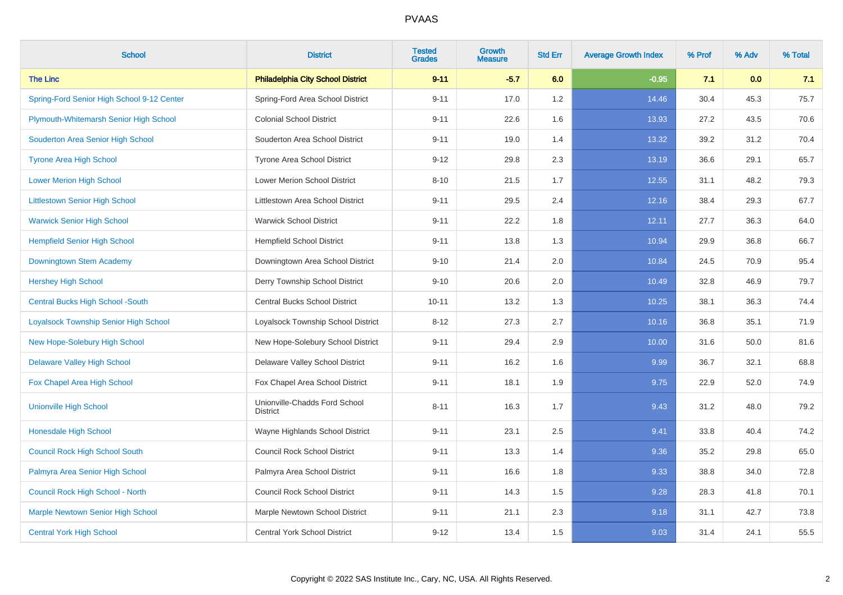| <b>School</b>                                | <b>District</b>                                  | <b>Tested</b><br><b>Grades</b> | <b>Growth</b><br><b>Measure</b> | <b>Std Err</b> | <b>Average Growth Index</b> | % Prof | % Adv | % Total |
|----------------------------------------------|--------------------------------------------------|--------------------------------|---------------------------------|----------------|-----------------------------|--------|-------|---------|
| <b>The Linc</b>                              | <b>Philadelphia City School District</b>         | $9 - 11$                       | $-5.7$                          | 6.0            | $-0.95$                     | 7.1    | 0.0   | 7.1     |
| Spring-Ford Senior High School 9-12 Center   | Spring-Ford Area School District                 | $9 - 11$                       | 17.0                            | 1.2            | 14.46                       | 30.4   | 45.3  | 75.7    |
| Plymouth-Whitemarsh Senior High School       | <b>Colonial School District</b>                  | $9 - 11$                       | 22.6                            | 1.6            | 13.93                       | 27.2   | 43.5  | 70.6    |
| Souderton Area Senior High School            | Souderton Area School District                   | $9 - 11$                       | 19.0                            | 1.4            | 13.32                       | 39.2   | 31.2  | 70.4    |
| <b>Tyrone Area High School</b>               | Tyrone Area School District                      | $9 - 12$                       | 29.8                            | 2.3            | 13.19                       | 36.6   | 29.1  | 65.7    |
| <b>Lower Merion High School</b>              | Lower Merion School District                     | $8 - 10$                       | 21.5                            | 1.7            | 12.55                       | 31.1   | 48.2  | 79.3    |
| <b>Littlestown Senior High School</b>        | Littlestown Area School District                 | $9 - 11$                       | 29.5                            | 2.4            | 12.16                       | 38.4   | 29.3  | 67.7    |
| <b>Warwick Senior High School</b>            | <b>Warwick School District</b>                   | $9 - 11$                       | 22.2                            | 1.8            | 12.11                       | 27.7   | 36.3  | 64.0    |
| <b>Hempfield Senior High School</b>          | <b>Hempfield School District</b>                 | $9 - 11$                       | 13.8                            | 1.3            | 10.94                       | 29.9   | 36.8  | 66.7    |
| Downingtown Stem Academy                     | Downingtown Area School District                 | $9 - 10$                       | 21.4                            | 2.0            | 10.84                       | 24.5   | 70.9  | 95.4    |
| <b>Hershey High School</b>                   | Derry Township School District                   | $9 - 10$                       | 20.6                            | 2.0            | 10.49                       | 32.8   | 46.9  | 79.7    |
| <b>Central Bucks High School -South</b>      | <b>Central Bucks School District</b>             | $10 - 11$                      | 13.2                            | 1.3            | 10.25                       | 38.1   | 36.3  | 74.4    |
| <b>Loyalsock Township Senior High School</b> | Loyalsock Township School District               | $8 - 12$                       | 27.3                            | 2.7            | 10.16                       | 36.8   | 35.1  | 71.9    |
| New Hope-Solebury High School                | New Hope-Solebury School District                | $9 - 11$                       | 29.4                            | 2.9            | 10.00                       | 31.6   | 50.0  | 81.6    |
| <b>Delaware Valley High School</b>           | Delaware Valley School District                  | $9 - 11$                       | 16.2                            | 1.6            | 9.99                        | 36.7   | 32.1  | 68.8    |
| Fox Chapel Area High School                  | Fox Chapel Area School District                  | $9 - 11$                       | 18.1                            | 1.9            | 9.75                        | 22.9   | 52.0  | 74.9    |
| <b>Unionville High School</b>                | Unionville-Chadds Ford School<br><b>District</b> | $8 - 11$                       | 16.3                            | 1.7            | 9.43                        | 31.2   | 48.0  | 79.2    |
| <b>Honesdale High School</b>                 | Wayne Highlands School District                  | $9 - 11$                       | 23.1                            | 2.5            | 9.41                        | 33.8   | 40.4  | 74.2    |
| <b>Council Rock High School South</b>        | <b>Council Rock School District</b>              | $9 - 11$                       | 13.3                            | 1.4            | 9.36                        | 35.2   | 29.8  | 65.0    |
| Palmyra Area Senior High School              | Palmyra Area School District                     | $9 - 11$                       | 16.6                            | 1.8            | 9.33                        | 38.8   | 34.0  | 72.8    |
| Council Rock High School - North             | <b>Council Rock School District</b>              | $9 - 11$                       | 14.3                            | 1.5            | 9.28                        | 28.3   | 41.8  | 70.1    |
| <b>Marple Newtown Senior High School</b>     | Marple Newtown School District                   | $9 - 11$                       | 21.1                            | 2.3            | 9.18                        | 31.1   | 42.7  | 73.8    |
| <b>Central York High School</b>              | <b>Central York School District</b>              | $9 - 12$                       | 13.4                            | 1.5            | 9.03                        | 31.4   | 24.1  | 55.5    |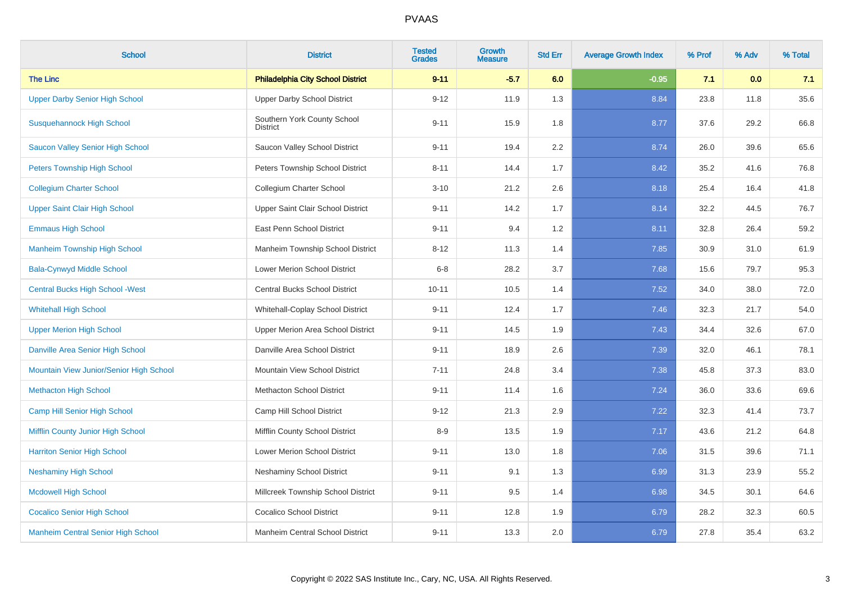| <b>School</b>                             | <b>District</b>                                | <b>Tested</b><br><b>Grades</b> | <b>Growth</b><br><b>Measure</b> | <b>Std Err</b> | <b>Average Growth Index</b> | % Prof | % Adv | % Total |
|-------------------------------------------|------------------------------------------------|--------------------------------|---------------------------------|----------------|-----------------------------|--------|-------|---------|
| <b>The Linc</b>                           | <b>Philadelphia City School District</b>       | $9 - 11$                       | $-5.7$                          | 6.0            | $-0.95$                     | 7.1    | 0.0   | 7.1     |
| <b>Upper Darby Senior High School</b>     | <b>Upper Darby School District</b>             | $9 - 12$                       | 11.9                            | 1.3            | 8.84                        | 23.8   | 11.8  | 35.6    |
| <b>Susquehannock High School</b>          | Southern York County School<br><b>District</b> | $9 - 11$                       | 15.9                            | 1.8            | 8.77                        | 37.6   | 29.2  | 66.8    |
| <b>Saucon Valley Senior High School</b>   | Saucon Valley School District                  | $9 - 11$                       | 19.4                            | 2.2            | 8.74                        | 26.0   | 39.6  | 65.6    |
| <b>Peters Township High School</b>        | Peters Township School District                | $8 - 11$                       | 14.4                            | 1.7            | 8.42                        | 35.2   | 41.6  | 76.8    |
| <b>Collegium Charter School</b>           | Collegium Charter School                       | $3 - 10$                       | 21.2                            | 2.6            | 8.18                        | 25.4   | 16.4  | 41.8    |
| <b>Upper Saint Clair High School</b>      | Upper Saint Clair School District              | $9 - 11$                       | 14.2                            | 1.7            | 8.14                        | 32.2   | 44.5  | 76.7    |
| <b>Emmaus High School</b>                 | East Penn School District                      | $9 - 11$                       | 9.4                             | 1.2            | 8.11                        | 32.8   | 26.4  | 59.2    |
| <b>Manheim Township High School</b>       | Manheim Township School District               | $8 - 12$                       | 11.3                            | 1.4            | 7.85                        | 30.9   | 31.0  | 61.9    |
| <b>Bala-Cynwyd Middle School</b>          | <b>Lower Merion School District</b>            | $6 - 8$                        | 28.2                            | 3.7            | 7.68                        | 15.6   | 79.7  | 95.3    |
| <b>Central Bucks High School - West</b>   | <b>Central Bucks School District</b>           | $10 - 11$                      | 10.5                            | 1.4            | 7.52                        | 34.0   | 38.0  | 72.0    |
| <b>Whitehall High School</b>              | Whitehall-Coplay School District               | $9 - 11$                       | 12.4                            | 1.7            | 7.46                        | 32.3   | 21.7  | 54.0    |
| <b>Upper Merion High School</b>           | Upper Merion Area School District              | $9 - 11$                       | 14.5                            | 1.9            | 7.43                        | 34.4   | 32.6  | 67.0    |
| Danville Area Senior High School          | Danville Area School District                  | $9 - 11$                       | 18.9                            | 2.6            | 7.39                        | 32.0   | 46.1  | 78.1    |
| Mountain View Junior/Senior High School   | Mountain View School District                  | $7 - 11$                       | 24.8                            | 3.4            | 7.38                        | 45.8   | 37.3  | 83.0    |
| <b>Methacton High School</b>              | <b>Methacton School District</b>               | $9 - 11$                       | 11.4                            | 1.6            | 7.24                        | 36.0   | 33.6  | 69.6    |
| <b>Camp Hill Senior High School</b>       | Camp Hill School District                      | $9 - 12$                       | 21.3                            | 2.9            | 7.22                        | 32.3   | 41.4  | 73.7    |
| Mifflin County Junior High School         | Mifflin County School District                 | $8 - 9$                        | 13.5                            | 1.9            | 7.17                        | 43.6   | 21.2  | 64.8    |
| <b>Harriton Senior High School</b>        | Lower Merion School District                   | $9 - 11$                       | 13.0                            | 1.8            | 7.06                        | 31.5   | 39.6  | 71.1    |
| <b>Neshaminy High School</b>              | <b>Neshaminy School District</b>               | $9 - 11$                       | 9.1                             | 1.3            | 6.99                        | 31.3   | 23.9  | 55.2    |
| <b>Mcdowell High School</b>               | Millcreek Township School District             | $9 - 11$                       | 9.5                             | 1.4            | 6.98                        | 34.5   | 30.1  | 64.6    |
| <b>Cocalico Senior High School</b>        | <b>Cocalico School District</b>                | $9 - 11$                       | 12.8                            | 1.9            | 6.79                        | 28.2   | 32.3  | 60.5    |
| <b>Manheim Central Senior High School</b> | Manheim Central School District                | $9 - 11$                       | 13.3                            | 2.0            | 6.79                        | 27.8   | 35.4  | 63.2    |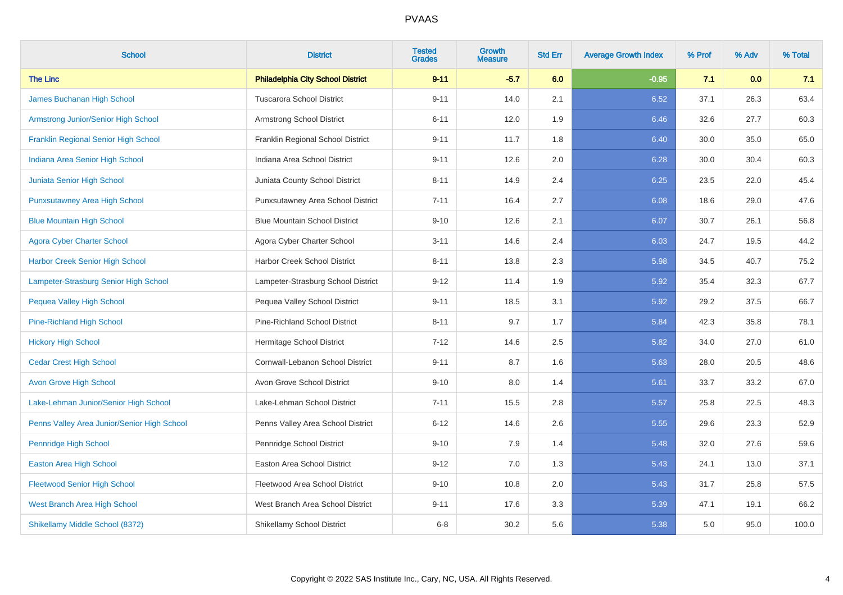| <b>School</b>                               | <b>District</b>                          | <b>Tested</b><br><b>Grades</b> | Growth<br><b>Measure</b> | <b>Std Err</b> | <b>Average Growth Index</b> | % Prof | % Adv | % Total |
|---------------------------------------------|------------------------------------------|--------------------------------|--------------------------|----------------|-----------------------------|--------|-------|---------|
| <b>The Linc</b>                             | <b>Philadelphia City School District</b> | $9 - 11$                       | $-5.7$                   | 6.0            | $-0.95$                     | 7.1    | 0.0   | 7.1     |
| James Buchanan High School                  | <b>Tuscarora School District</b>         | $9 - 11$                       | 14.0                     | 2.1            | 6.52                        | 37.1   | 26.3  | 63.4    |
| Armstrong Junior/Senior High School         | Armstrong School District                | $6 - 11$                       | 12.0                     | 1.9            | 6.46                        | 32.6   | 27.7  | 60.3    |
| <b>Franklin Regional Senior High School</b> | Franklin Regional School District        | $9 - 11$                       | 11.7                     | 1.8            | 6.40                        | 30.0   | 35.0  | 65.0    |
| Indiana Area Senior High School             | Indiana Area School District             | $9 - 11$                       | 12.6                     | 2.0            | 6.28                        | 30.0   | 30.4  | 60.3    |
| Juniata Senior High School                  | Juniata County School District           | $8 - 11$                       | 14.9                     | 2.4            | 6.25                        | 23.5   | 22.0  | 45.4    |
| <b>Punxsutawney Area High School</b>        | Punxsutawney Area School District        | $7 - 11$                       | 16.4                     | 2.7            | 6.08                        | 18.6   | 29.0  | 47.6    |
| <b>Blue Mountain High School</b>            | <b>Blue Mountain School District</b>     | $9 - 10$                       | 12.6                     | 2.1            | 6.07                        | 30.7   | 26.1  | 56.8    |
| <b>Agora Cyber Charter School</b>           | Agora Cyber Charter School               | $3 - 11$                       | 14.6                     | 2.4            | 6.03                        | 24.7   | 19.5  | 44.2    |
| <b>Harbor Creek Senior High School</b>      | Harbor Creek School District             | $8 - 11$                       | 13.8                     | 2.3            | 5.98                        | 34.5   | 40.7  | 75.2    |
| Lampeter-Strasburg Senior High School       | Lampeter-Strasburg School District       | $9 - 12$                       | 11.4                     | 1.9            | 5.92                        | 35.4   | 32.3  | 67.7    |
| Pequea Valley High School                   | Pequea Valley School District            | $9 - 11$                       | 18.5                     | 3.1            | 5.92                        | 29.2   | 37.5  | 66.7    |
| <b>Pine-Richland High School</b>            | Pine-Richland School District            | $8 - 11$                       | 9.7                      | 1.7            | 5.84                        | 42.3   | 35.8  | 78.1    |
| <b>Hickory High School</b>                  | Hermitage School District                | $7 - 12$                       | 14.6                     | 2.5            | 5.82                        | 34.0   | 27.0  | 61.0    |
| <b>Cedar Crest High School</b>              | Cornwall-Lebanon School District         | $9 - 11$                       | 8.7                      | 1.6            | 5.63                        | 28.0   | 20.5  | 48.6    |
| <b>Avon Grove High School</b>               | Avon Grove School District               | $9 - 10$                       | 8.0                      | 1.4            | 5.61                        | 33.7   | 33.2  | 67.0    |
| Lake-Lehman Junior/Senior High School       | Lake-Lehman School District              | $7 - 11$                       | 15.5                     | 2.8            | 5.57                        | 25.8   | 22.5  | 48.3    |
| Penns Valley Area Junior/Senior High School | Penns Valley Area School District        | $6 - 12$                       | 14.6                     | 2.6            | 5.55                        | 29.6   | 23.3  | 52.9    |
| Pennridge High School                       | Pennridge School District                | $9 - 10$                       | 7.9                      | 1.4            | 5.48                        | 32.0   | 27.6  | 59.6    |
| <b>Easton Area High School</b>              | Easton Area School District              | $9 - 12$                       | 7.0                      | 1.3            | 5.43                        | 24.1   | 13.0  | 37.1    |
| <b>Fleetwood Senior High School</b>         | Fleetwood Area School District           | $9 - 10$                       | 10.8                     | 2.0            | 5.43                        | 31.7   | 25.8  | 57.5    |
| West Branch Area High School                | West Branch Area School District         | $9 - 11$                       | 17.6                     | 3.3            | 5.39                        | 47.1   | 19.1  | 66.2    |
| Shikellamy Middle School (8372)             | Shikellamy School District               | $6 - 8$                        | 30.2                     | 5.6            | 5.38                        | 5.0    | 95.0  | 100.0   |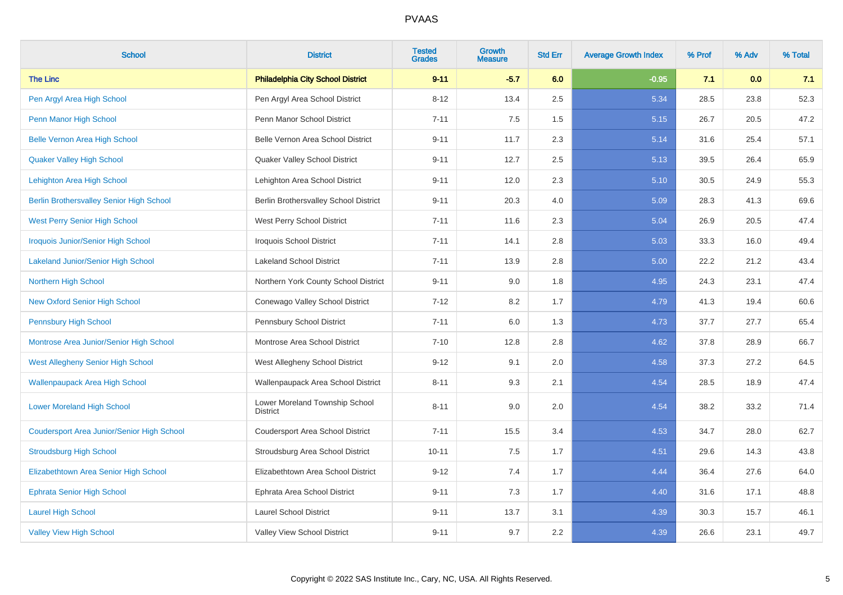| <b>School</b>                                   | <b>District</b>                                   | <b>Tested</b><br><b>Grades</b> | <b>Growth</b><br><b>Measure</b> | <b>Std Err</b> | <b>Average Growth Index</b> | % Prof | % Adv | % Total |
|-------------------------------------------------|---------------------------------------------------|--------------------------------|---------------------------------|----------------|-----------------------------|--------|-------|---------|
| <b>The Linc</b>                                 | <b>Philadelphia City School District</b>          | $9 - 11$                       | $-5.7$                          | 6.0            | $-0.95$                     | 7.1    | 0.0   | 7.1     |
| Pen Argyl Area High School                      | Pen Argyl Area School District                    | $8 - 12$                       | 13.4                            | 2.5            | 5.34                        | 28.5   | 23.8  | 52.3    |
| Penn Manor High School                          | Penn Manor School District                        | $7 - 11$                       | 7.5                             | 1.5            | 5.15                        | 26.7   | 20.5  | 47.2    |
| <b>Belle Vernon Area High School</b>            | Belle Vernon Area School District                 | $9 - 11$                       | 11.7                            | 2.3            | 5.14                        | 31.6   | 25.4  | 57.1    |
| <b>Quaker Valley High School</b>                | Quaker Valley School District                     | $9 - 11$                       | 12.7                            | 2.5            | 5.13                        | 39.5   | 26.4  | 65.9    |
| Lehighton Area High School                      | Lehighton Area School District                    | $9 - 11$                       | 12.0                            | 2.3            | 5.10                        | 30.5   | 24.9  | 55.3    |
| <b>Berlin Brothersvalley Senior High School</b> | Berlin Brothersvalley School District             | $9 - 11$                       | 20.3                            | 4.0            | 5.09                        | 28.3   | 41.3  | 69.6    |
| <b>West Perry Senior High School</b>            | West Perry School District                        | $7 - 11$                       | 11.6                            | 2.3            | 5.04                        | 26.9   | 20.5  | 47.4    |
| <b>Iroquois Junior/Senior High School</b>       | <b>Iroquois School District</b>                   | $7 - 11$                       | 14.1                            | 2.8            | 5.03                        | 33.3   | 16.0  | 49.4    |
| <b>Lakeland Junior/Senior High School</b>       | <b>Lakeland School District</b>                   | $7 - 11$                       | 13.9                            | 2.8            | 5.00                        | 22.2   | 21.2  | 43.4    |
| Northern High School                            | Northern York County School District              | $9 - 11$                       | 9.0                             | 1.8            | 4.95                        | 24.3   | 23.1  | 47.4    |
| <b>New Oxford Senior High School</b>            | Conewago Valley School District                   | $7 - 12$                       | 8.2                             | 1.7            | 4.79                        | 41.3   | 19.4  | 60.6    |
| <b>Pennsbury High School</b>                    | Pennsbury School District                         | $7 - 11$                       | 6.0                             | 1.3            | 4.73                        | 37.7   | 27.7  | 65.4    |
| Montrose Area Junior/Senior High School         | Montrose Area School District                     | $7 - 10$                       | 12.8                            | 2.8            | 4.62                        | 37.8   | 28.9  | 66.7    |
| <b>West Allegheny Senior High School</b>        | West Allegheny School District                    | $9 - 12$                       | 9.1                             | 2.0            | 4.58                        | 37.3   | 27.2  | 64.5    |
| <b>Wallenpaupack Area High School</b>           | Wallenpaupack Area School District                | $8 - 11$                       | 9.3                             | 2.1            | 4.54                        | 28.5   | 18.9  | 47.4    |
| <b>Lower Moreland High School</b>               | Lower Moreland Township School<br><b>District</b> | $8 - 11$                       | 9.0                             | 2.0            | 4.54                        | 38.2   | 33.2  | 71.4    |
| Coudersport Area Junior/Senior High School      | Coudersport Area School District                  | $7 - 11$                       | 15.5                            | 3.4            | 4.53                        | 34.7   | 28.0  | 62.7    |
| <b>Stroudsburg High School</b>                  | Stroudsburg Area School District                  | $10 - 11$                      | 7.5                             | 1.7            | 4.51                        | 29.6   | 14.3  | 43.8    |
| Elizabethtown Area Senior High School           | Elizabethtown Area School District                | $9 - 12$                       | 7.4                             | 1.7            | 4.44                        | 36.4   | 27.6  | 64.0    |
| <b>Ephrata Senior High School</b>               | Ephrata Area School District                      | $9 - 11$                       | 7.3                             | 1.7            | 4.40                        | 31.6   | 17.1  | 48.8    |
| <b>Laurel High School</b>                       | <b>Laurel School District</b>                     | $9 - 11$                       | 13.7                            | 3.1            | 4.39                        | 30.3   | 15.7  | 46.1    |
| <b>Valley View High School</b>                  | Valley View School District                       | $9 - 11$                       | 9.7                             | 2.2            | 4.39                        | 26.6   | 23.1  | 49.7    |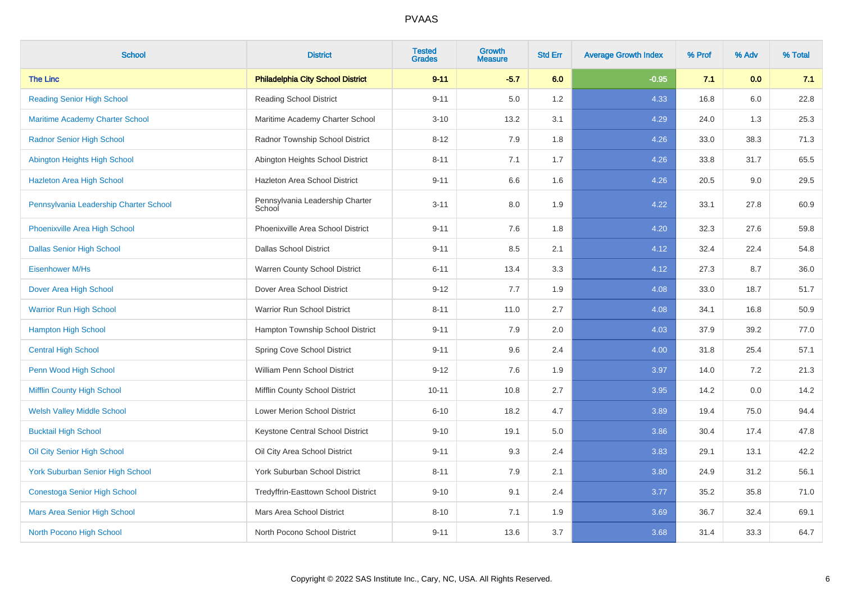| <b>School</b>                           | <b>District</b>                           | <b>Tested</b><br><b>Grades</b> | <b>Growth</b><br><b>Measure</b> | <b>Std Err</b> | <b>Average Growth Index</b> | % Prof | % Adv | % Total |
|-----------------------------------------|-------------------------------------------|--------------------------------|---------------------------------|----------------|-----------------------------|--------|-------|---------|
| <b>The Linc</b>                         | <b>Philadelphia City School District</b>  | $9 - 11$                       | $-5.7$                          | 6.0            | $-0.95$                     | 7.1    | 0.0   | 7.1     |
| <b>Reading Senior High School</b>       | <b>Reading School District</b>            | $9 - 11$                       | 5.0                             | 1.2            | 4.33                        | 16.8   | 6.0   | 22.8    |
| <b>Maritime Academy Charter School</b>  | Maritime Academy Charter School           | $3 - 10$                       | 13.2                            | 3.1            | 4.29                        | 24.0   | 1.3   | 25.3    |
| <b>Radnor Senior High School</b>        | Radnor Township School District           | $8 - 12$                       | 7.9                             | 1.8            | 4.26                        | 33.0   | 38.3  | 71.3    |
| Abington Heights High School            | Abington Heights School District          | $8 - 11$                       | 7.1                             | 1.7            | 4.26                        | 33.8   | 31.7  | 65.5    |
| <b>Hazleton Area High School</b>        | Hazleton Area School District             | $9 - 11$                       | 6.6                             | 1.6            | 4.26                        | 20.5   | 9.0   | 29.5    |
| Pennsylvania Leadership Charter School  | Pennsylvania Leadership Charter<br>School | $3 - 11$                       | 8.0                             | 1.9            | 4.22                        | 33.1   | 27.8  | 60.9    |
| Phoenixville Area High School           | Phoenixville Area School District         | $9 - 11$                       | 7.6                             | 1.8            | 4.20                        | 32.3   | 27.6  | 59.8    |
| <b>Dallas Senior High School</b>        | <b>Dallas School District</b>             | $9 - 11$                       | 8.5                             | 2.1            | 4.12                        | 32.4   | 22.4  | 54.8    |
| Eisenhower M/Hs                         | Warren County School District             | $6 - 11$                       | 13.4                            | 3.3            | 4.12                        | 27.3   | 8.7   | 36.0    |
| Dover Area High School                  | Dover Area School District                | $9 - 12$                       | 7.7                             | 1.9            | 4.08                        | 33.0   | 18.7  | 51.7    |
| <b>Warrior Run High School</b>          | Warrior Run School District               | $8 - 11$                       | 11.0                            | 2.7            | 4.08                        | 34.1   | 16.8  | 50.9    |
| <b>Hampton High School</b>              | Hampton Township School District          | $9 - 11$                       | 7.9                             | $2.0\,$        | 4.03                        | 37.9   | 39.2  | 77.0    |
| <b>Central High School</b>              | Spring Cove School District               | $9 - 11$                       | 9.6                             | 2.4            | 4.00                        | 31.8   | 25.4  | 57.1    |
| Penn Wood High School                   | William Penn School District              | $9 - 12$                       | 7.6                             | 1.9            | 3.97                        | 14.0   | 7.2   | 21.3    |
| Mifflin County High School              | Mifflin County School District            | $10 - 11$                      | 10.8                            | 2.7            | 3.95                        | 14.2   | 0.0   | 14.2    |
| <b>Welsh Valley Middle School</b>       | Lower Merion School District              | $6 - 10$                       | 18.2                            | 4.7            | 3.89                        | 19.4   | 75.0  | 94.4    |
| <b>Bucktail High School</b>             | Keystone Central School District          | $9 - 10$                       | 19.1                            | 5.0            | 3.86                        | 30.4   | 17.4  | 47.8    |
| Oil City Senior High School             | Oil City Area School District             | $9 - 11$                       | 9.3                             | 2.4            | 3.83                        | 29.1   | 13.1  | 42.2    |
| <b>York Suburban Senior High School</b> | York Suburban School District             | $8 - 11$                       | 7.9                             | 2.1            | 3.80                        | 24.9   | 31.2  | 56.1    |
| <b>Conestoga Senior High School</b>     | Tredyffrin-Easttown School District       | $9 - 10$                       | 9.1                             | 2.4            | 3.77                        | 35.2   | 35.8  | 71.0    |
| Mars Area Senior High School            | Mars Area School District                 | $8 - 10$                       | 7.1                             | 1.9            | 3.69                        | 36.7   | 32.4  | 69.1    |
| North Pocono High School                | North Pocono School District              | $9 - 11$                       | 13.6                            | 3.7            | 3.68                        | 31.4   | 33.3  | 64.7    |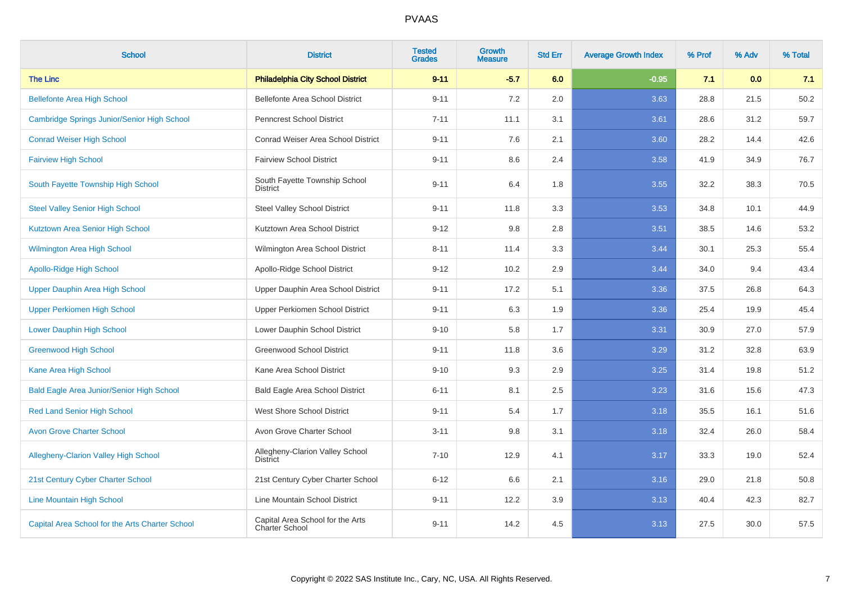| <b>School</b>                                    | <b>District</b>                                    | <b>Tested</b><br><b>Grades</b> | <b>Growth</b><br><b>Measure</b> | <b>Std Err</b> | <b>Average Growth Index</b> | % Prof | % Adv | % Total |
|--------------------------------------------------|----------------------------------------------------|--------------------------------|---------------------------------|----------------|-----------------------------|--------|-------|---------|
| <b>The Linc</b>                                  | <b>Philadelphia City School District</b>           | $9 - 11$                       | $-5.7$                          | 6.0            | $-0.95$                     | 7.1    | 0.0   | 7.1     |
| <b>Bellefonte Area High School</b>               | Bellefonte Area School District                    | $9 - 11$                       | 7.2                             | 2.0            | 3.63                        | 28.8   | 21.5  | 50.2    |
| Cambridge Springs Junior/Senior High School      | <b>Penncrest School District</b>                   | $7 - 11$                       | 11.1                            | 3.1            | 3.61                        | 28.6   | 31.2  | 59.7    |
| <b>Conrad Weiser High School</b>                 | Conrad Weiser Area School District                 | $9 - 11$                       | 7.6                             | 2.1            | 3.60                        | 28.2   | 14.4  | 42.6    |
| <b>Fairview High School</b>                      | <b>Fairview School District</b>                    | $9 - 11$                       | 8.6                             | 2.4            | 3.58                        | 41.9   | 34.9  | 76.7    |
| South Fayette Township High School               | South Fayette Township School<br><b>District</b>   | $9 - 11$                       | 6.4                             | 1.8            | 3.55                        | 32.2   | 38.3  | 70.5    |
| <b>Steel Valley Senior High School</b>           | <b>Steel Valley School District</b>                | $9 - 11$                       | 11.8                            | 3.3            | 3.53                        | 34.8   | 10.1  | 44.9    |
| Kutztown Area Senior High School                 | Kutztown Area School District                      | $9 - 12$                       | 9.8                             | 2.8            | 3.51                        | 38.5   | 14.6  | 53.2    |
| <b>Wilmington Area High School</b>               | Wilmington Area School District                    | $8 - 11$                       | 11.4                            | 3.3            | 3.44                        | 30.1   | 25.3  | 55.4    |
| <b>Apollo-Ridge High School</b>                  | Apollo-Ridge School District                       | $9 - 12$                       | 10.2                            | 2.9            | 3.44                        | 34.0   | 9.4   | 43.4    |
| Upper Dauphin Area High School                   | Upper Dauphin Area School District                 | $9 - 11$                       | 17.2                            | 5.1            | 3.36                        | 37.5   | 26.8  | 64.3    |
| <b>Upper Perkiomen High School</b>               | Upper Perkiomen School District                    | $9 - 11$                       | 6.3                             | 1.9            | 3.36                        | 25.4   | 19.9  | 45.4    |
| <b>Lower Dauphin High School</b>                 | Lower Dauphin School District                      | $9 - 10$                       | 5.8                             | 1.7            | 3.31                        | 30.9   | 27.0  | 57.9    |
| <b>Greenwood High School</b>                     | Greenwood School District                          | $9 - 11$                       | 11.8                            | 3.6            | 3.29                        | 31.2   | 32.8  | 63.9    |
| Kane Area High School                            | Kane Area School District                          | $9 - 10$                       | 9.3                             | 2.9            | 3.25                        | 31.4   | 19.8  | 51.2    |
| <b>Bald Eagle Area Junior/Senior High School</b> | <b>Bald Eagle Area School District</b>             | $6 - 11$                       | 8.1                             | 2.5            | 3.23                        | 31.6   | 15.6  | 47.3    |
| <b>Red Land Senior High School</b>               | West Shore School District                         | $9 - 11$                       | 5.4                             | 1.7            | 3.18                        | 35.5   | 16.1  | 51.6    |
| <b>Avon Grove Charter School</b>                 | Avon Grove Charter School                          | $3 - 11$                       | 9.8                             | 3.1            | 3.18                        | 32.4   | 26.0  | 58.4    |
| <b>Allegheny-Clarion Valley High School</b>      | Allegheny-Clarion Valley School<br><b>District</b> | $7 - 10$                       | 12.9                            | 4.1            | 3.17                        | 33.3   | 19.0  | 52.4    |
| 21st Century Cyber Charter School                | 21st Century Cyber Charter School                  | $6 - 12$                       | 6.6                             | 2.1            | 3.16                        | 29.0   | 21.8  | 50.8    |
| <b>Line Mountain High School</b>                 | Line Mountain School District                      | $9 - 11$                       | 12.2                            | 3.9            | 3.13                        | 40.4   | 42.3  | 82.7    |
| Capital Area School for the Arts Charter School  | Capital Area School for the Arts<br>Charter School | $9 - 11$                       | 14.2                            | 4.5            | 3.13                        | 27.5   | 30.0  | 57.5    |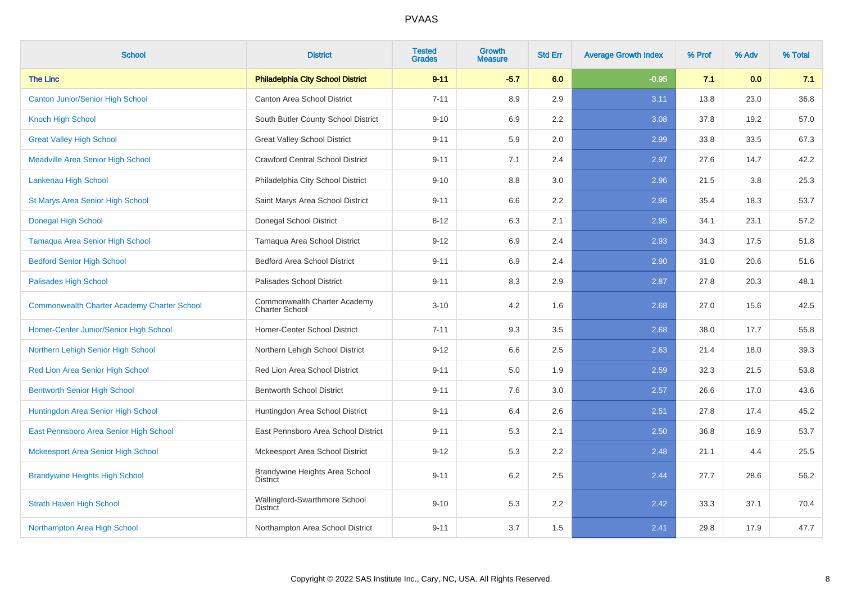| <b>School</b>                                      | <b>District</b>                                       | <b>Tested</b><br><b>Grades</b> | <b>Growth</b><br><b>Measure</b> | <b>Std Err</b> | <b>Average Growth Index</b> | % Prof | % Adv | % Total |
|----------------------------------------------------|-------------------------------------------------------|--------------------------------|---------------------------------|----------------|-----------------------------|--------|-------|---------|
| <b>The Linc</b>                                    | <b>Philadelphia City School District</b>              | $9 - 11$                       | $-5.7$                          | 6.0            | $-0.95$                     | 7.1    | 0.0   | 7.1     |
| <b>Canton Junior/Senior High School</b>            | Canton Area School District                           | $7 - 11$                       | 8.9                             | 2.9            | 3.11                        | 13.8   | 23.0  | 36.8    |
| Knoch High School                                  | South Butler County School District                   | $9 - 10$                       | 6.9                             | 2.2            | 3.08                        | 37.8   | 19.2  | 57.0    |
| <b>Great Valley High School</b>                    | <b>Great Valley School District</b>                   | $9 - 11$                       | 5.9                             | 2.0            | 2.99                        | 33.8   | 33.5  | 67.3    |
| <b>Meadville Area Senior High School</b>           | <b>Crawford Central School District</b>               | $9 - 11$                       | 7.1                             | 2.4            | 2.97                        | 27.6   | 14.7  | 42.2    |
| Lankenau High School                               | Philadelphia City School District                     | $9 - 10$                       | 8.8                             | 3.0            | 2.96                        | 21.5   | 3.8   | 25.3    |
| <b>St Marys Area Senior High School</b>            | Saint Marys Area School District                      | $9 - 11$                       | 6.6                             | 2.2            | 2.96                        | 35.4   | 18.3  | 53.7    |
| <b>Donegal High School</b>                         | <b>Donegal School District</b>                        | $8 - 12$                       | 6.3                             | 2.1            | 2.95                        | 34.1   | 23.1  | 57.2    |
| <b>Tamaqua Area Senior High School</b>             | Tamaqua Area School District                          | $9 - 12$                       | 6.9                             | 2.4            | 2.93                        | 34.3   | 17.5  | 51.8    |
| <b>Bedford Senior High School</b>                  | <b>Bedford Area School District</b>                   | $9 - 11$                       | 6.9                             | 2.4            | 2.90                        | 31.0   | 20.6  | 51.6    |
| Palisades High School                              | Palisades School District                             | $9 - 11$                       | 8.3                             | 2.9            | 2.87                        | 27.8   | 20.3  | 48.1    |
| <b>Commonwealth Charter Academy Charter School</b> | Commonwealth Charter Academy<br><b>Charter School</b> | $3 - 10$                       | 4.2                             | 1.6            | 2.68                        | 27.0   | 15.6  | 42.5    |
| Homer-Center Junior/Senior High School             | Homer-Center School District                          | $7 - 11$                       | 9.3                             | 3.5            | 2.68                        | 38.0   | 17.7  | 55.8    |
| Northern Lehigh Senior High School                 | Northern Lehigh School District                       | $9 - 12$                       | 6.6                             | 2.5            | 2.63                        | 21.4   | 18.0  | 39.3    |
| Red Lion Area Senior High School                   | Red Lion Area School District                         | $9 - 11$                       | 5.0                             | 1.9            | 2.59                        | 32.3   | 21.5  | 53.8    |
| <b>Bentworth Senior High School</b>                | <b>Bentworth School District</b>                      | $9 - 11$                       | 7.6                             | 3.0            | 2.57                        | 26.6   | 17.0  | 43.6    |
| Huntingdon Area Senior High School                 | Huntingdon Area School District                       | $9 - 11$                       | 6.4                             | 2.6            | 2.51                        | 27.8   | 17.4  | 45.2    |
| East Pennsboro Area Senior High School             | East Pennsboro Area School District                   | $9 - 11$                       | 5.3                             | 2.1            | 2.50                        | 36.8   | 16.9  | 53.7    |
| Mckeesport Area Senior High School                 | Mckeesport Area School District                       | $9 - 12$                       | 5.3                             | 2.2            | 2.48                        | 21.1   | 4.4   | 25.5    |
| <b>Brandywine Heights High School</b>              | Brandywine Heights Area School<br><b>District</b>     | $9 - 11$                       | 6.2                             | 2.5            | 2.44                        | 27.7   | 28.6  | 56.2    |
| <b>Strath Haven High School</b>                    | Wallingford-Swarthmore School<br><b>District</b>      | $9 - 10$                       | 5.3                             | 2.2            | 2.42                        | 33.3   | 37.1  | 70.4    |
| Northampton Area High School                       | Northampton Area School District                      | $9 - 11$                       | 3.7                             | 1.5            | 2.41                        | 29.8   | 17.9  | 47.7    |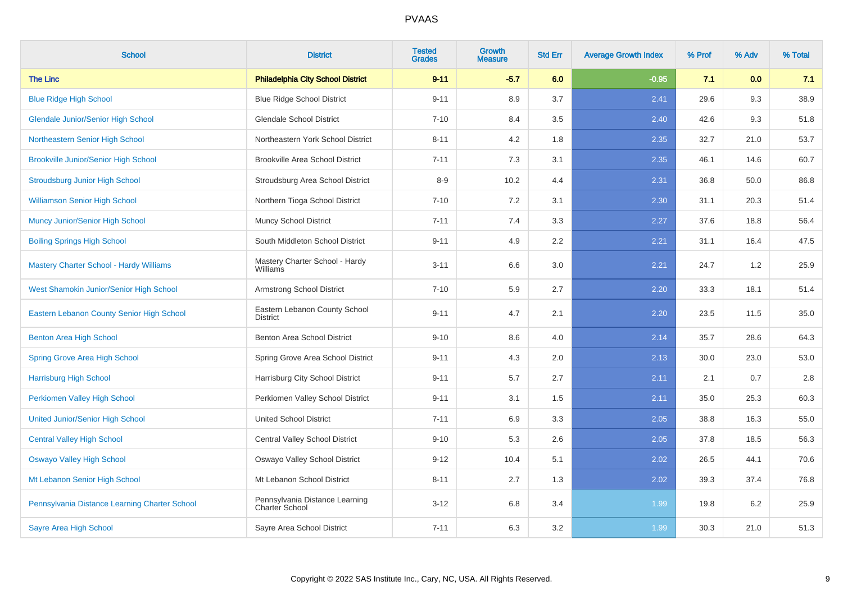| <b>School</b>                                  | <b>District</b>                                  | <b>Tested</b><br><b>Grades</b> | Growth<br><b>Measure</b> | <b>Std Err</b> | <b>Average Growth Index</b> | % Prof | % Adv | % Total |
|------------------------------------------------|--------------------------------------------------|--------------------------------|--------------------------|----------------|-----------------------------|--------|-------|---------|
| <b>The Linc</b>                                | <b>Philadelphia City School District</b>         | $9 - 11$                       | $-5.7$                   | 6.0            | $-0.95$                     | 7.1    | 0.0   | 7.1     |
| <b>Blue Ridge High School</b>                  | <b>Blue Ridge School District</b>                | $9 - 11$                       | 8.9                      | 3.7            | 2.41                        | 29.6   | 9.3   | 38.9    |
| <b>Glendale Junior/Senior High School</b>      | <b>Glendale School District</b>                  | $7 - 10$                       | 8.4                      | 3.5            | 2.40                        | 42.6   | 9.3   | 51.8    |
| Northeastern Senior High School                | Northeastern York School District                | $8 - 11$                       | 4.2                      | 1.8            | 2.35                        | 32.7   | 21.0  | 53.7    |
| <b>Brookville Junior/Senior High School</b>    | <b>Brookville Area School District</b>           | $7 - 11$                       | 7.3                      | 3.1            | 2.35                        | 46.1   | 14.6  | 60.7    |
| <b>Stroudsburg Junior High School</b>          | Stroudsburg Area School District                 | $8-9$                          | 10.2                     | 4.4            | 2.31                        | 36.8   | 50.0  | 86.8    |
| <b>Williamson Senior High School</b>           | Northern Tioga School District                   | $7 - 10$                       | 7.2                      | 3.1            | 2.30                        | 31.1   | 20.3  | 51.4    |
| Muncy Junior/Senior High School                | <b>Muncy School District</b>                     | $7 - 11$                       | 7.4                      | 3.3            | 2.27                        | 37.6   | 18.8  | 56.4    |
| <b>Boiling Springs High School</b>             | South Middleton School District                  | $9 - 11$                       | 4.9                      | 2.2            | 2.21                        | 31.1   | 16.4  | 47.5    |
| <b>Mastery Charter School - Hardy Williams</b> | Mastery Charter School - Hardy<br>Williams       | $3 - 11$                       | 6.6                      | 3.0            | 2.21                        | 24.7   | 1.2   | 25.9    |
| West Shamokin Junior/Senior High School        | Armstrong School District                        | $7 - 10$                       | 5.9                      | 2.7            | 2.20                        | 33.3   | 18.1  | 51.4    |
| Eastern Lebanon County Senior High School      | Eastern Lebanon County School<br><b>District</b> | $9 - 11$                       | 4.7                      | 2.1            | 2.20                        | 23.5   | 11.5  | 35.0    |
| Benton Area High School                        | Benton Area School District                      | $9 - 10$                       | 8.6                      | 4.0            | 2.14                        | 35.7   | 28.6  | 64.3    |
| <b>Spring Grove Area High School</b>           | Spring Grove Area School District                | $9 - 11$                       | 4.3                      | 2.0            | 2.13                        | 30.0   | 23.0  | 53.0    |
| <b>Harrisburg High School</b>                  | Harrisburg City School District                  | $9 - 11$                       | 5.7                      | 2.7            | 2.11                        | 2.1    | 0.7   | 2.8     |
| Perkiomen Valley High School                   | Perkiomen Valley School District                 | $9 - 11$                       | 3.1                      | 1.5            | 2.11                        | 35.0   | 25.3  | 60.3    |
| <b>United Junior/Senior High School</b>        | <b>United School District</b>                    | $7 - 11$                       | 6.9                      | 3.3            | 2.05                        | 38.8   | 16.3  | 55.0    |
| <b>Central Valley High School</b>              | Central Valley School District                   | $9 - 10$                       | 5.3                      | 2.6            | 2.05                        | 37.8   | 18.5  | 56.3    |
| <b>Oswayo Valley High School</b>               | Oswayo Valley School District                    | $9 - 12$                       | 10.4                     | 5.1            | 2.02                        | 26.5   | 44.1  | 70.6    |
| Mt Lebanon Senior High School                  | Mt Lebanon School District                       | $8 - 11$                       | 2.7                      | 1.3            | 2.02                        | 39.3   | 37.4  | 76.8    |
| Pennsylvania Distance Learning Charter School  | Pennsylvania Distance Learning<br>Charter School | $3 - 12$                       | 6.8                      | 3.4            | 1.99                        | 19.8   | 6.2   | 25.9    |
| <b>Sayre Area High School</b>                  | Sayre Area School District                       | $7 - 11$                       | 6.3                      | 3.2            | 1.99                        | 30.3   | 21.0  | 51.3    |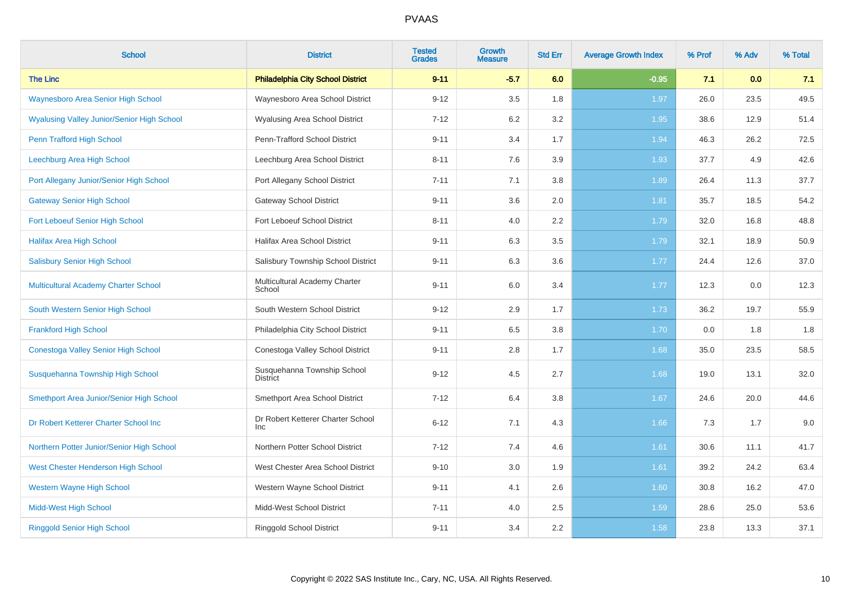| <b>School</b>                                     | <b>District</b>                                | <b>Tested</b><br><b>Grades</b> | Growth<br><b>Measure</b> | <b>Std Err</b> | <b>Average Growth Index</b> | % Prof | % Adv | % Total |
|---------------------------------------------------|------------------------------------------------|--------------------------------|--------------------------|----------------|-----------------------------|--------|-------|---------|
| <b>The Linc</b>                                   | <b>Philadelphia City School District</b>       | $9 - 11$                       | $-5.7$                   | 6.0            | $-0.95$                     | 7.1    | 0.0   | 7.1     |
| <b>Waynesboro Area Senior High School</b>         | Waynesboro Area School District                | $9 - 12$                       | 3.5                      | 1.8            | 1.97                        | 26.0   | 23.5  | 49.5    |
| <b>Wyalusing Valley Junior/Senior High School</b> | <b>Wyalusing Area School District</b>          | $7 - 12$                       | 6.2                      | 3.2            | 1.95                        | 38.6   | 12.9  | 51.4    |
| Penn Trafford High School                         | Penn-Trafford School District                  | $9 - 11$                       | 3.4                      | 1.7            | 1.94                        | 46.3   | 26.2  | 72.5    |
| Leechburg Area High School                        | Leechburg Area School District                 | $8 - 11$                       | 7.6                      | 3.9            | 1.93                        | 37.7   | 4.9   | 42.6    |
| Port Allegany Junior/Senior High School           | Port Allegany School District                  | $7 - 11$                       | 7.1                      | 3.8            | 1.89                        | 26.4   | 11.3  | 37.7    |
| <b>Gateway Senior High School</b>                 | <b>Gateway School District</b>                 | $9 - 11$                       | 3.6                      | 2.0            | 1.81                        | 35.7   | 18.5  | 54.2    |
| Fort Leboeuf Senior High School                   | Fort Leboeuf School District                   | $8 - 11$                       | 4.0                      | 2.2            | 1.79                        | 32.0   | 16.8  | 48.8    |
| <b>Halifax Area High School</b>                   | Halifax Area School District                   | $9 - 11$                       | 6.3                      | 3.5            | 1.79                        | 32.1   | 18.9  | 50.9    |
| <b>Salisbury Senior High School</b>               | Salisbury Township School District             | $9 - 11$                       | 6.3                      | 3.6            | 1.77                        | 24.4   | 12.6  | 37.0    |
| Multicultural Academy Charter School              | Multicultural Academy Charter<br>School        | $9 - 11$                       | 6.0                      | 3.4            | 1.77                        | 12.3   | 0.0   | 12.3    |
| South Western Senior High School                  | South Western School District                  | $9 - 12$                       | 2.9                      | 1.7            | 1.73                        | 36.2   | 19.7  | 55.9    |
| <b>Frankford High School</b>                      | Philadelphia City School District              | $9 - 11$                       | 6.5                      | 3.8            | 1.70                        | 0.0    | 1.8   | 1.8     |
| <b>Conestoga Valley Senior High School</b>        | Conestoga Valley School District               | $9 - 11$                       | $2.8\,$                  | 1.7            | 1.68                        | 35.0   | 23.5  | 58.5    |
| Susquehanna Township High School                  | Susquehanna Township School<br><b>District</b> | $9 - 12$                       | 4.5                      | 2.7            | 1.68                        | 19.0   | 13.1  | 32.0    |
| Smethport Area Junior/Senior High School          | Smethport Area School District                 | $7 - 12$                       | 6.4                      | 3.8            | 1.67                        | 24.6   | 20.0  | 44.6    |
| Dr Robert Ketterer Charter School Inc             | Dr Robert Ketterer Charter School<br>Inc       | $6 - 12$                       | 7.1                      | 4.3            | 1.66                        | 7.3    | 1.7   | 9.0     |
| Northern Potter Junior/Senior High School         | Northern Potter School District                | $7 - 12$                       | 7.4                      | 4.6            | 1.61                        | 30.6   | 11.1  | 41.7    |
| West Chester Henderson High School                | West Chester Area School District              | $9 - 10$                       | 3.0                      | 1.9            | 1.61                        | 39.2   | 24.2  | 63.4    |
| <b>Western Wayne High School</b>                  | Western Wayne School District                  | $9 - 11$                       | 4.1                      | 2.6            | 1.60                        | 30.8   | 16.2  | 47.0    |
| <b>Midd-West High School</b>                      | Midd-West School District                      | $7 - 11$                       | 4.0                      | 2.5            | 1.59                        | 28.6   | 25.0  | 53.6    |
| <b>Ringgold Senior High School</b>                | Ringgold School District                       | $9 - 11$                       | 3.4                      | 2.2            | 1.58                        | 23.8   | 13.3  | 37.1    |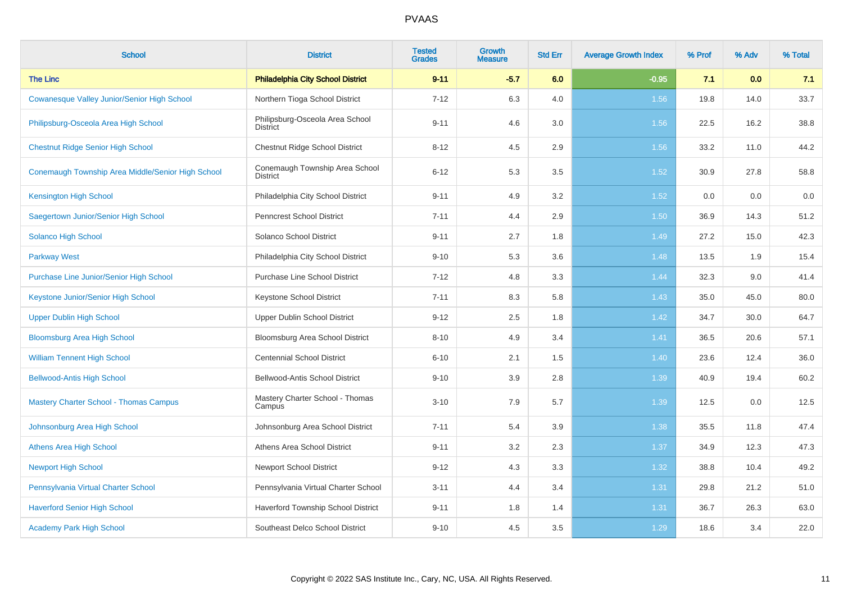| <b>School</b>                                     | <b>District</b>                                    | <b>Tested</b><br><b>Grades</b> | <b>Growth</b><br><b>Measure</b> | <b>Std Err</b> | <b>Average Growth Index</b> | % Prof | % Adv | % Total |
|---------------------------------------------------|----------------------------------------------------|--------------------------------|---------------------------------|----------------|-----------------------------|--------|-------|---------|
| <b>The Linc</b>                                   | <b>Philadelphia City School District</b>           | $9 - 11$                       | $-5.7$                          | 6.0            | $-0.95$                     | 7.1    | 0.0   | 7.1     |
| Cowanesque Valley Junior/Senior High School       | Northern Tioga School District                     | $7 - 12$                       | 6.3                             | 4.0            | 1.56                        | 19.8   | 14.0  | 33.7    |
| Philipsburg-Osceola Area High School              | Philipsburg-Osceola Area School<br><b>District</b> | $9 - 11$                       | 4.6                             | 3.0            | 1.56                        | 22.5   | 16.2  | 38.8    |
| <b>Chestnut Ridge Senior High School</b>          | Chestnut Ridge School District                     | $8 - 12$                       | 4.5                             | 2.9            | 1.56                        | 33.2   | 11.0  | 44.2    |
| Conemaugh Township Area Middle/Senior High School | Conemaugh Township Area School<br><b>District</b>  | $6 - 12$                       | 5.3                             | 3.5            | 1.52                        | 30.9   | 27.8  | 58.8    |
| <b>Kensington High School</b>                     | Philadelphia City School District                  | $9 - 11$                       | 4.9                             | 3.2            | 1.52                        | 0.0    | 0.0   | 0.0     |
| Saegertown Junior/Senior High School              | <b>Penncrest School District</b>                   | $7 - 11$                       | 4.4                             | 2.9            | 1.50                        | 36.9   | 14.3  | 51.2    |
| Solanco High School                               | Solanco School District                            | $9 - 11$                       | 2.7                             | 1.8            | 1.49                        | 27.2   | 15.0  | 42.3    |
| <b>Parkway West</b>                               | Philadelphia City School District                  | $9 - 10$                       | 5.3                             | 3.6            | 1.48                        | 13.5   | 1.9   | 15.4    |
| <b>Purchase Line Junior/Senior High School</b>    | <b>Purchase Line School District</b>               | $7 - 12$                       | 4.8                             | 3.3            | 1.44                        | 32.3   | 9.0   | 41.4    |
| Keystone Junior/Senior High School                | Keystone School District                           | $7 - 11$                       | 8.3                             | 5.8            | 1.43                        | 35.0   | 45.0  | 80.0    |
| <b>Upper Dublin High School</b>                   | Upper Dublin School District                       | $9 - 12$                       | 2.5                             | 1.8            | 1.42                        | 34.7   | 30.0  | 64.7    |
| <b>Bloomsburg Area High School</b>                | Bloomsburg Area School District                    | $8 - 10$                       | 4.9                             | 3.4            | 1.41                        | 36.5   | 20.6  | 57.1    |
| <b>William Tennent High School</b>                | <b>Centennial School District</b>                  | $6 - 10$                       | 2.1                             | 1.5            | 1.40                        | 23.6   | 12.4  | 36.0    |
| <b>Bellwood-Antis High School</b>                 | Bellwood-Antis School District                     | $9 - 10$                       | 3.9                             | 2.8            | 1.39                        | 40.9   | 19.4  | 60.2    |
| <b>Mastery Charter School - Thomas Campus</b>     | Mastery Charter School - Thomas<br>Campus          | $3 - 10$                       | 7.9                             | 5.7            | 1.39                        | 12.5   | 0.0   | 12.5    |
| Johnsonburg Area High School                      | Johnsonburg Area School District                   | $7 - 11$                       | 5.4                             | 3.9            | 1.38                        | 35.5   | 11.8  | 47.4    |
| <b>Athens Area High School</b>                    | Athens Area School District                        | $9 - 11$                       | 3.2                             | 2.3            | 1.37                        | 34.9   | 12.3  | 47.3    |
| <b>Newport High School</b>                        | <b>Newport School District</b>                     | $9 - 12$                       | 4.3                             | 3.3            | 1.32                        | 38.8   | 10.4  | 49.2    |
| Pennsylvania Virtual Charter School               | Pennsylvania Virtual Charter School                | $3 - 11$                       | 4.4                             | 3.4            | 1.31                        | 29.8   | 21.2  | 51.0    |
| <b>Haverford Senior High School</b>               | Haverford Township School District                 | $9 - 11$                       | 1.8                             | 1.4            | 1.31                        | 36.7   | 26.3  | 63.0    |
| <b>Academy Park High School</b>                   | Southeast Delco School District                    | $9 - 10$                       | 4.5                             | 3.5            | 1.29                        | 18.6   | 3.4   | 22.0    |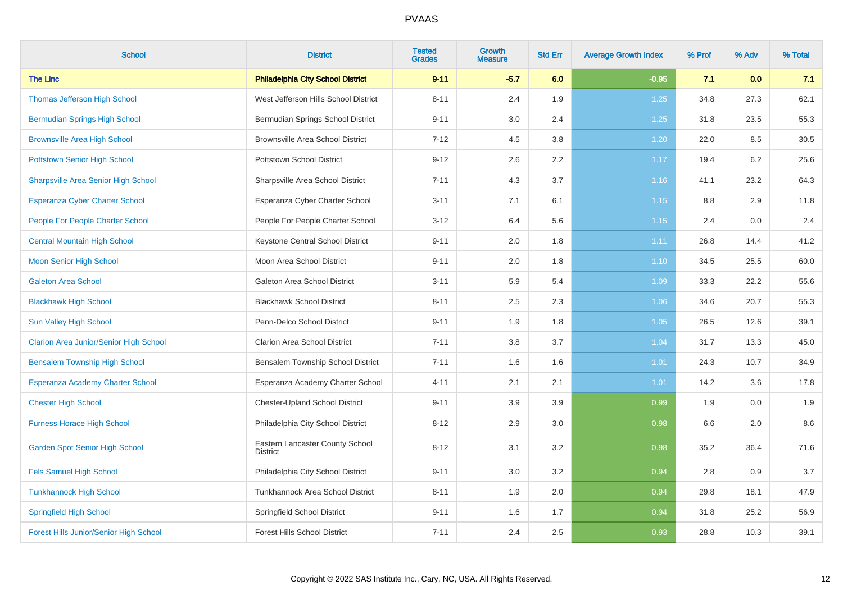| <b>School</b>                                 | <b>District</b>                                    | <b>Tested</b><br><b>Grades</b> | Growth<br><b>Measure</b> | <b>Std Err</b> | <b>Average Growth Index</b> | % Prof | % Adv | % Total |
|-----------------------------------------------|----------------------------------------------------|--------------------------------|--------------------------|----------------|-----------------------------|--------|-------|---------|
| <b>The Linc</b>                               | <b>Philadelphia City School District</b>           | $9 - 11$                       | $-5.7$                   | 6.0            | $-0.95$                     | 7.1    | 0.0   | 7.1     |
| Thomas Jefferson High School                  | West Jefferson Hills School District               | $8 - 11$                       | 2.4                      | 1.9            | 1.25                        | 34.8   | 27.3  | 62.1    |
| <b>Bermudian Springs High School</b>          | Bermudian Springs School District                  | $9 - 11$                       | 3.0                      | 2.4            | 1.25                        | 31.8   | 23.5  | 55.3    |
| <b>Brownsville Area High School</b>           | <b>Brownsville Area School District</b>            | $7 - 12$                       | 4.5                      | 3.8            | 1.20                        | 22.0   | 8.5   | 30.5    |
| <b>Pottstown Senior High School</b>           | Pottstown School District                          | $9 - 12$                       | 2.6                      | 2.2            | 1.17                        | 19.4   | 6.2   | 25.6    |
| <b>Sharpsville Area Senior High School</b>    | Sharpsville Area School District                   | $7 - 11$                       | 4.3                      | 3.7            | 1.16                        | 41.1   | 23.2  | 64.3    |
| Esperanza Cyber Charter School                | Esperanza Cyber Charter School                     | $3 - 11$                       | 7.1                      | 6.1            | 1.15                        | 8.8    | 2.9   | 11.8    |
| People For People Charter School              | People For People Charter School                   | $3 - 12$                       | 6.4                      | 5.6            | 1.15                        | 2.4    | 0.0   | 2.4     |
| <b>Central Mountain High School</b>           | Keystone Central School District                   | $9 - 11$                       | 2.0                      | 1.8            | 1.11                        | 26.8   | 14.4  | 41.2    |
| <b>Moon Senior High School</b>                | Moon Area School District                          | $9 - 11$                       | 2.0                      | 1.8            | 1.10                        | 34.5   | 25.5  | 60.0    |
| <b>Galeton Area School</b>                    | Galeton Area School District                       | $3 - 11$                       | 5.9                      | 5.4            | 1.09                        | 33.3   | 22.2  | 55.6    |
| <b>Blackhawk High School</b>                  | <b>Blackhawk School District</b>                   | $8 - 11$                       | 2.5                      | 2.3            | 1.06                        | 34.6   | 20.7  | 55.3    |
| Sun Valley High School                        | Penn-Delco School District                         | $9 - 11$                       | 1.9                      | 1.8            | 1.05                        | 26.5   | 12.6  | 39.1    |
| <b>Clarion Area Junior/Senior High School</b> | <b>Clarion Area School District</b>                | $7 - 11$                       | 3.8                      | 3.7            | 1.04                        | 31.7   | 13.3  | 45.0    |
| <b>Bensalem Township High School</b>          | Bensalem Township School District                  | $7 - 11$                       | 1.6                      | 1.6            | 1.01                        | 24.3   | 10.7  | 34.9    |
| <b>Esperanza Academy Charter School</b>       | Esperanza Academy Charter School                   | $4 - 11$                       | 2.1                      | 2.1            | 1.01                        | 14.2   | 3.6   | 17.8    |
| <b>Chester High School</b>                    | Chester-Upland School District                     | $9 - 11$                       | 3.9                      | 3.9            | 0.99                        | 1.9    | 0.0   | 1.9     |
| <b>Furness Horace High School</b>             | Philadelphia City School District                  | $8 - 12$                       | 2.9                      | 3.0            | 0.98                        | 6.6    | 2.0   | 8.6     |
| <b>Garden Spot Senior High School</b>         | Eastern Lancaster County School<br><b>District</b> | $8 - 12$                       | 3.1                      | 3.2            | 0.98                        | 35.2   | 36.4  | 71.6    |
| <b>Fels Samuel High School</b>                | Philadelphia City School District                  | $9 - 11$                       | 3.0                      | 3.2            | 0.94                        | 2.8    | 0.9   | $3.7\,$ |
| <b>Tunkhannock High School</b>                | <b>Tunkhannock Area School District</b>            | $8 - 11$                       | 1.9                      | 2.0            | 0.94                        | 29.8   | 18.1  | 47.9    |
| <b>Springfield High School</b>                | Springfield School District                        | $9 - 11$                       | 1.6                      | 1.7            | 0.94                        | 31.8   | 25.2  | 56.9    |
| <b>Forest Hills Junior/Senior High School</b> | <b>Forest Hills School District</b>                | $7 - 11$                       | 2.4                      | 2.5            | 0.93                        | 28.8   | 10.3  | 39.1    |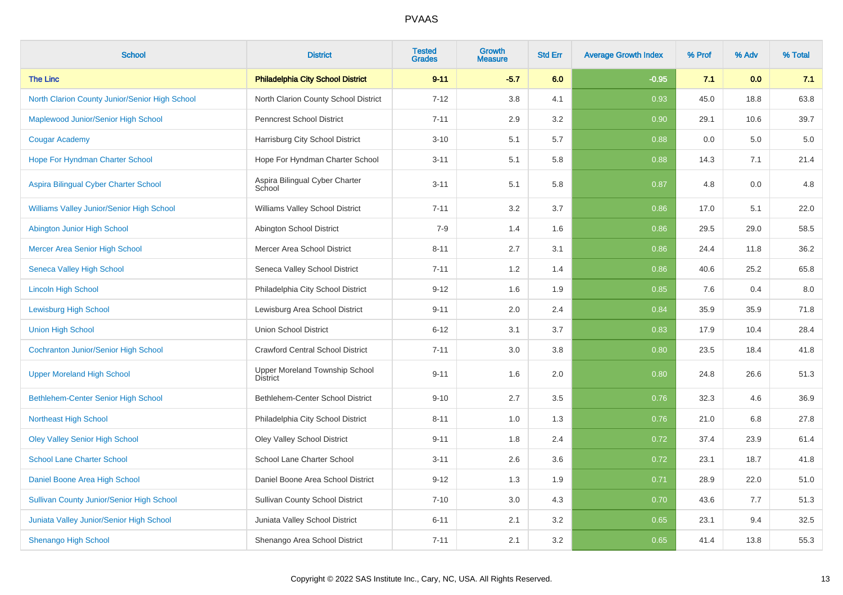| <b>School</b>                                    | <b>District</b>                                   | <b>Tested</b><br><b>Grades</b> | Growth<br><b>Measure</b> | <b>Std Err</b> | <b>Average Growth Index</b> | % Prof | % Adv | % Total |
|--------------------------------------------------|---------------------------------------------------|--------------------------------|--------------------------|----------------|-----------------------------|--------|-------|---------|
| <b>The Linc</b>                                  | <b>Philadelphia City School District</b>          | $9 - 11$                       | $-5.7$                   | 6.0            | $-0.95$                     | 7.1    | 0.0   | 7.1     |
| North Clarion County Junior/Senior High School   | North Clarion County School District              | $7 - 12$                       | 3.8                      | 4.1            | 0.93                        | 45.0   | 18.8  | 63.8    |
| Maplewood Junior/Senior High School              | <b>Penncrest School District</b>                  | $7 - 11$                       | 2.9                      | 3.2            | 0.90                        | 29.1   | 10.6  | 39.7    |
| <b>Cougar Academy</b>                            | Harrisburg City School District                   | $3 - 10$                       | 5.1                      | 5.7            | 0.88                        | 0.0    | 5.0   | $5.0\,$ |
| Hope For Hyndman Charter School                  | Hope For Hyndman Charter School                   | $3 - 11$                       | 5.1                      | 5.8            | 0.88                        | 14.3   | 7.1   | 21.4    |
| Aspira Bilingual Cyber Charter School            | Aspira Bilingual Cyber Charter<br>School          | $3 - 11$                       | 5.1                      | 5.8            | 0.87                        | 4.8    | 0.0   | 4.8     |
| Williams Valley Junior/Senior High School        | Williams Valley School District                   | $7 - 11$                       | 3.2                      | 3.7            | 0.86                        | 17.0   | 5.1   | 22.0    |
| Abington Junior High School                      | Abington School District                          | $7 - 9$                        | 1.4                      | 1.6            | 0.86                        | 29.5   | 29.0  | 58.5    |
| Mercer Area Senior High School                   | Mercer Area School District                       | $8 - 11$                       | 2.7                      | 3.1            | 0.86                        | 24.4   | 11.8  | 36.2    |
| <b>Seneca Valley High School</b>                 | Seneca Valley School District                     | $7 - 11$                       | 1.2                      | 1.4            | 0.86                        | 40.6   | 25.2  | 65.8    |
| <b>Lincoln High School</b>                       | Philadelphia City School District                 | $9 - 12$                       | 1.6                      | 1.9            | 0.85                        | 7.6    | 0.4   | 8.0     |
| <b>Lewisburg High School</b>                     | Lewisburg Area School District                    | $9 - 11$                       | 2.0                      | 2.4            | 0.84                        | 35.9   | 35.9  | 71.8    |
| <b>Union High School</b>                         | <b>Union School District</b>                      | $6 - 12$                       | 3.1                      | 3.7            | 0.83                        | 17.9   | 10.4  | 28.4    |
| <b>Cochranton Junior/Senior High School</b>      | <b>Crawford Central School District</b>           | $7 - 11$                       | 3.0                      | 3.8            | 0.80                        | 23.5   | 18.4  | 41.8    |
| <b>Upper Moreland High School</b>                | Upper Moreland Township School<br><b>District</b> | $9 - 11$                       | 1.6                      | 2.0            | 0.80                        | 24.8   | 26.6  | 51.3    |
| <b>Bethlehem-Center Senior High School</b>       | Bethlehem-Center School District                  | $9 - 10$                       | 2.7                      | 3.5            | 0.76                        | 32.3   | 4.6   | 36.9    |
| <b>Northeast High School</b>                     | Philadelphia City School District                 | $8 - 11$                       | 1.0                      | 1.3            | 0.76                        | 21.0   | 6.8   | 27.8    |
| <b>Oley Valley Senior High School</b>            | <b>Oley Valley School District</b>                | $9 - 11$                       | 1.8                      | 2.4            | 0.72                        | 37.4   | 23.9  | 61.4    |
| <b>School Lane Charter School</b>                | School Lane Charter School                        | $3 - 11$                       | 2.6                      | 3.6            | 0.72                        | 23.1   | 18.7  | 41.8    |
| Daniel Boone Area High School                    | Daniel Boone Area School District                 | $9 - 12$                       | 1.3                      | 1.9            | 0.71                        | 28.9   | 22.0  | 51.0    |
| <b>Sullivan County Junior/Senior High School</b> | <b>Sullivan County School District</b>            | $7 - 10$                       | 3.0                      | 4.3            | 0.70                        | 43.6   | 7.7   | 51.3    |
| Juniata Valley Junior/Senior High School         | Juniata Valley School District                    | $6 - 11$                       | 2.1                      | 3.2            | 0.65                        | 23.1   | 9.4   | 32.5    |
| <b>Shenango High School</b>                      | Shenango Area School District                     | $7 - 11$                       | 2.1                      | 3.2            | 0.65                        | 41.4   | 13.8  | 55.3    |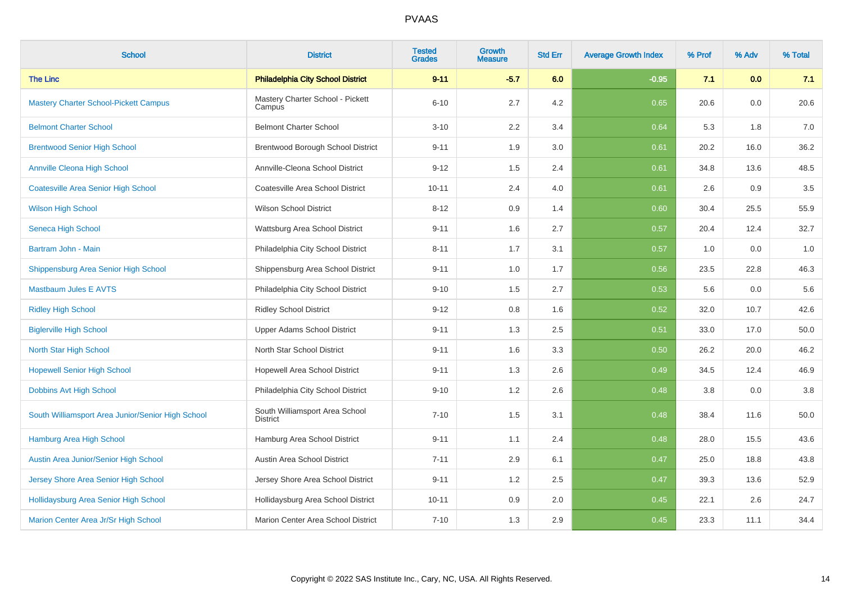| <b>School</b>                                     | <b>District</b>                                   | <b>Tested</b><br><b>Grades</b> | <b>Growth</b><br>Measure | <b>Std Err</b> | <b>Average Growth Index</b> | % Prof | % Adv | % Total |
|---------------------------------------------------|---------------------------------------------------|--------------------------------|--------------------------|----------------|-----------------------------|--------|-------|---------|
| <b>The Linc</b>                                   | <b>Philadelphia City School District</b>          | $9 - 11$                       | $-5.7$                   | 6.0            | $-0.95$                     | 7.1    | 0.0   | 7.1     |
| <b>Mastery Charter School-Pickett Campus</b>      | Mastery Charter School - Pickett<br>Campus        | $6 - 10$                       | 2.7                      | 4.2            | 0.65                        | 20.6   | 0.0   | 20.6    |
| <b>Belmont Charter School</b>                     | <b>Belmont Charter School</b>                     | $3 - 10$                       | 2.2                      | 3.4            | 0.64                        | 5.3    | 1.8   | 7.0     |
| <b>Brentwood Senior High School</b>               | Brentwood Borough School District                 | $9 - 11$                       | 1.9                      | 3.0            | 0.61                        | 20.2   | 16.0  | 36.2    |
| <b>Annville Cleona High School</b>                | Annville-Cleona School District                   | $9 - 12$                       | 1.5                      | 2.4            | 0.61                        | 34.8   | 13.6  | 48.5    |
| <b>Coatesville Area Senior High School</b>        | Coatesville Area School District                  | $10 - 11$                      | 2.4                      | 4.0            | 0.61                        | 2.6    | 0.9   | $3.5\,$ |
| <b>Wilson High School</b>                         | <b>Wilson School District</b>                     | $8 - 12$                       | 0.9                      | 1.4            | 0.60                        | 30.4   | 25.5  | 55.9    |
| Seneca High School                                | Wattsburg Area School District                    | $9 - 11$                       | 1.6                      | 2.7            | 0.57                        | 20.4   | 12.4  | 32.7    |
| Bartram John - Main                               | Philadelphia City School District                 | $8 - 11$                       | 1.7                      | 3.1            | 0.57                        | 1.0    | 0.0   | 1.0     |
| Shippensburg Area Senior High School              | Shippensburg Area School District                 | $9 - 11$                       | 1.0                      | 1.7            | 0.56                        | 23.5   | 22.8  | 46.3    |
| <b>Mastbaum Jules E AVTS</b>                      | Philadelphia City School District                 | $9 - 10$                       | 1.5                      | 2.7            | 0.53                        | 5.6    | 0.0   | 5.6     |
| <b>Ridley High School</b>                         | <b>Ridley School District</b>                     | $9 - 12$                       | 0.8                      | 1.6            | 0.52                        | 32.0   | 10.7  | 42.6    |
| <b>Biglerville High School</b>                    | Upper Adams School District                       | $9 - 11$                       | 1.3                      | 2.5            | 0.51                        | 33.0   | 17.0  | 50.0    |
| North Star High School                            | North Star School District                        | $9 - 11$                       | 1.6                      | 3.3            | 0.50                        | 26.2   | 20.0  | 46.2    |
| <b>Hopewell Senior High School</b>                | Hopewell Area School District                     | $9 - 11$                       | 1.3                      | 2.6            | 0.49                        | 34.5   | 12.4  | 46.9    |
| Dobbins Avt High School                           | Philadelphia City School District                 | $9 - 10$                       | 1.2                      | 2.6            | 0.48                        | 3.8    | 0.0   | $3.8\,$ |
| South Williamsport Area Junior/Senior High School | South Williamsport Area School<br><b>District</b> | $7 - 10$                       | 1.5                      | 3.1            | 0.48                        | 38.4   | 11.6  | 50.0    |
| Hamburg Area High School                          | Hamburg Area School District                      | $9 - 11$                       | 1.1                      | 2.4            | 0.48                        | 28.0   | 15.5  | 43.6    |
| Austin Area Junior/Senior High School             | Austin Area School District                       | $7 - 11$                       | 2.9                      | 6.1            | 0.47                        | 25.0   | 18.8  | 43.8    |
| Jersey Shore Area Senior High School              | Jersey Shore Area School District                 | $9 - 11$                       | 1.2                      | 2.5            | 0.47                        | 39.3   | 13.6  | 52.9    |
| Hollidaysburg Area Senior High School             | Hollidaysburg Area School District                | $10 - 11$                      | 0.9                      | 2.0            | 0.45                        | 22.1   | 2.6   | 24.7    |
| Marion Center Area Jr/Sr High School              | Marion Center Area School District                | $7 - 10$                       | 1.3                      | 2.9            | 0.45                        | 23.3   | 11.1  | 34.4    |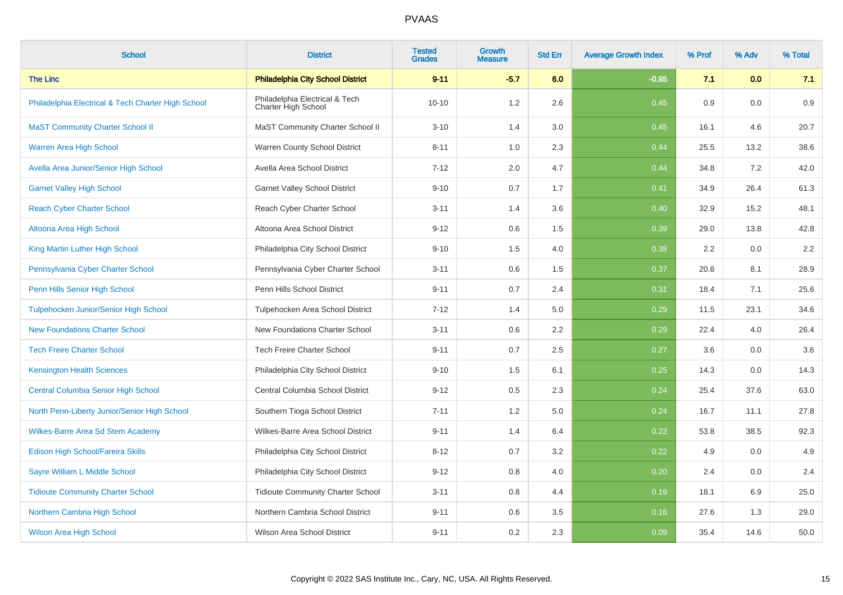| <b>School</b>                                      | <b>District</b>                                       | <b>Tested</b><br><b>Grades</b> | <b>Growth</b><br><b>Measure</b> | <b>Std Err</b> | <b>Average Growth Index</b> | % Prof | % Adv | % Total |
|----------------------------------------------------|-------------------------------------------------------|--------------------------------|---------------------------------|----------------|-----------------------------|--------|-------|---------|
| <b>The Linc</b>                                    | <b>Philadelphia City School District</b>              | $9 - 11$                       | $-5.7$                          | 6.0            | $-0.95$                     | 7.1    | 0.0   | 7.1     |
| Philadelphia Electrical & Tech Charter High School | Philadelphia Electrical & Tech<br>Charter High School | $10 - 10$                      | 1.2                             | 2.6            | 0.45                        | 0.9    | 0.0   | 0.9     |
| <b>MaST Community Charter School II</b>            | MaST Community Charter School II                      | $3 - 10$                       | 1.4                             | 3.0            | 0.45                        | 16.1   | 4.6   | 20.7    |
| <b>Warren Area High School</b>                     | Warren County School District                         | $8 - 11$                       | 1.0                             | 2.3            | 0.44                        | 25.5   | 13.2  | 38.6    |
| Avella Area Junior/Senior High School              | Avella Area School District                           | $7 - 12$                       | 2.0                             | 4.7            | 0.44                        | 34.8   | 7.2   | 42.0    |
| <b>Garnet Valley High School</b>                   | <b>Garnet Valley School District</b>                  | $9 - 10$                       | 0.7                             | 1.7            | 0.41                        | 34.9   | 26.4  | 61.3    |
| <b>Reach Cyber Charter School</b>                  | Reach Cyber Charter School                            | $3 - 11$                       | 1.4                             | 3.6            | 0.40                        | 32.9   | 15.2  | 48.1    |
| Altoona Area High School                           | Altoona Area School District                          | $9 - 12$                       | 0.6                             | 1.5            | 0.39                        | 29.0   | 13.8  | 42.8    |
| King Martin Luther High School                     | Philadelphia City School District                     | $9 - 10$                       | 1.5                             | 4.0            | 0.38                        | 2.2    | 0.0   | 2.2     |
| Pennsylvania Cyber Charter School                  | Pennsylvania Cyber Charter School                     | $3 - 11$                       | 0.6                             | 1.5            | 0.37                        | 20.8   | 8.1   | 28.9    |
| Penn Hills Senior High School                      | Penn Hills School District                            | $9 - 11$                       | 0.7                             | 2.4            | 0.31                        | 18.4   | 7.1   | 25.6    |
| <b>Tulpehocken Junior/Senior High School</b>       | Tulpehocken Area School District                      | $7 - 12$                       | 1.4                             | 5.0            | 0.29                        | 11.5   | 23.1  | 34.6    |
| <b>New Foundations Charter School</b>              | New Foundations Charter School                        | $3 - 11$                       | 0.6                             | 2.2            | 0.29                        | 22.4   | 4.0   | 26.4    |
| <b>Tech Freire Charter School</b>                  | Tech Freire Charter School                            | $9 - 11$                       | 0.7                             | 2.5            | 0.27                        | 3.6    | 0.0   | 3.6     |
| <b>Kensington Health Sciences</b>                  | Philadelphia City School District                     | $9 - 10$                       | 1.5                             | 6.1            | 0.25                        | 14.3   | 0.0   | 14.3    |
| <b>Central Columbia Senior High School</b>         | Central Columbia School District                      | $9 - 12$                       | 0.5                             | 2.3            | 0.24                        | 25.4   | 37.6  | 63.0    |
| North Penn-Liberty Junior/Senior High School       | Southern Tioga School District                        | $7 - 11$                       | 1.2                             | 5.0            | 0.24                        | 16.7   | 11.1  | 27.8    |
| Wilkes-Barre Area Sd Stem Academy                  | Wilkes-Barre Area School District                     | $9 - 11$                       | 1.4                             | 6.4            | 0.22                        | 53.8   | 38.5  | 92.3    |
| Edison High School/Fareira Skills                  | Philadelphia City School District                     | $8 - 12$                       | 0.7                             | 3.2            | 0.22                        | 4.9    | 0.0   | 4.9     |
| Sayre William L Middle School                      | Philadelphia City School District                     | $9 - 12$                       | 0.8                             | 4.0            | 0.20                        | 2.4    | 0.0   | $2.4\,$ |
| <b>Tidioute Community Charter School</b>           | <b>Tidioute Community Charter School</b>              | $3 - 11$                       | 0.8                             | 4.4            | 0.19                        | 18.1   | 6.9   | 25.0    |
| Northern Cambria High School                       | Northern Cambria School District                      | $9 - 11$                       | 0.6                             | 3.5            | 0.16                        | 27.6   | 1.3   | 29.0    |
| <b>Wilson Area High School</b>                     | Wilson Area School District                           | $9 - 11$                       | 0.2                             | 2.3            | 0.09                        | 35.4   | 14.6  | 50.0    |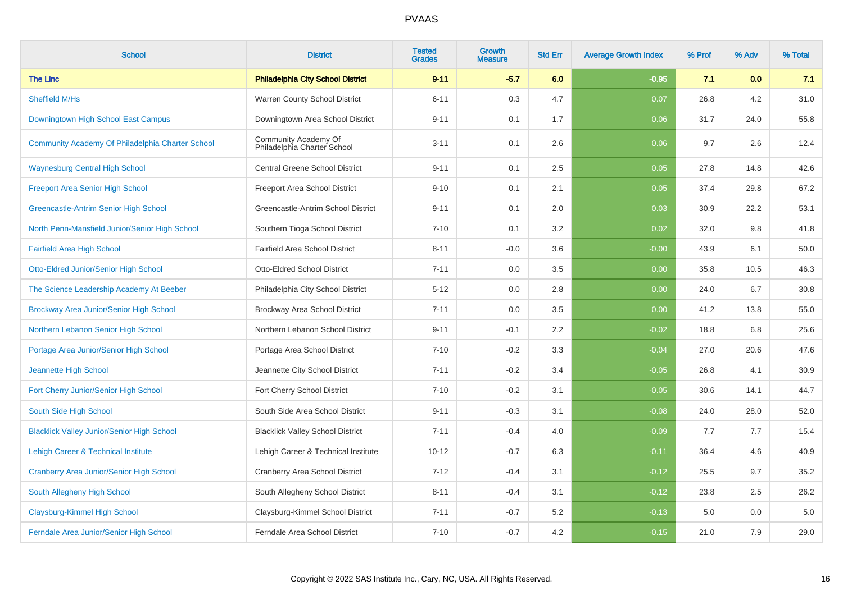| <b>School</b>                                     | <b>District</b>                                     | <b>Tested</b><br><b>Grades</b> | Growth<br><b>Measure</b> | <b>Std Err</b> | <b>Average Growth Index</b> | % Prof | % Adv | % Total |
|---------------------------------------------------|-----------------------------------------------------|--------------------------------|--------------------------|----------------|-----------------------------|--------|-------|---------|
| <b>The Linc</b>                                   | <b>Philadelphia City School District</b>            | $9 - 11$                       | $-5.7$                   | 6.0            | $-0.95$                     | 7.1    | 0.0   | 7.1     |
| <b>Sheffield M/Hs</b>                             | Warren County School District                       | $6 - 11$                       | 0.3                      | 4.7            | 0.07                        | 26.8   | 4.2   | 31.0    |
| Downingtown High School East Campus               | Downingtown Area School District                    | $9 - 11$                       | 0.1                      | 1.7            | 0.06                        | 31.7   | 24.0  | 55.8    |
| Community Academy Of Philadelphia Charter School  | Community Academy Of<br>Philadelphia Charter School | $3 - 11$                       | 0.1                      | 2.6            | 0.06                        | 9.7    | 2.6   | 12.4    |
| <b>Waynesburg Central High School</b>             | <b>Central Greene School District</b>               | $9 - 11$                       | 0.1                      | 2.5            | 0.05                        | 27.8   | 14.8  | 42.6    |
| <b>Freeport Area Senior High School</b>           | Freeport Area School District                       | $9 - 10$                       | 0.1                      | 2.1            | 0.05                        | 37.4   | 29.8  | 67.2    |
| Greencastle-Antrim Senior High School             | Greencastle-Antrim School District                  | $9 - 11$                       | 0.1                      | 2.0            | 0.03                        | 30.9   | 22.2  | 53.1    |
| North Penn-Mansfield Junior/Senior High School    | Southern Tioga School District                      | $7 - 10$                       | 0.1                      | 3.2            | 0.02                        | 32.0   | 9.8   | 41.8    |
| <b>Fairfield Area High School</b>                 | Fairfield Area School District                      | $8 - 11$                       | $-0.0$                   | 3.6            | $-0.00$                     | 43.9   | 6.1   | 50.0    |
| Otto-Eldred Junior/Senior High School             | Otto-Eldred School District                         | $7 - 11$                       | 0.0                      | 3.5            | 0.00                        | 35.8   | 10.5  | 46.3    |
| The Science Leadership Academy At Beeber          | Philadelphia City School District                   | $5 - 12$                       | 0.0                      | 2.8            | 0.00                        | 24.0   | 6.7   | 30.8    |
| Brockway Area Junior/Senior High School           | Brockway Area School District                       | $7 - 11$                       | 0.0                      | 3.5            | 0.00                        | 41.2   | 13.8  | 55.0    |
| Northern Lebanon Senior High School               | Northern Lebanon School District                    | $9 - 11$                       | $-0.1$                   | 2.2            | $-0.02$                     | 18.8   | 6.8   | 25.6    |
| Portage Area Junior/Senior High School            | Portage Area School District                        | $7 - 10$                       | $-0.2$                   | 3.3            | $-0.04$                     | 27.0   | 20.6  | 47.6    |
| Jeannette High School                             | Jeannette City School District                      | $7 - 11$                       | $-0.2$                   | 3.4            | $-0.05$                     | 26.8   | 4.1   | 30.9    |
| Fort Cherry Junior/Senior High School             | Fort Cherry School District                         | $7 - 10$                       | $-0.2$                   | 3.1            | $-0.05$                     | 30.6   | 14.1  | 44.7    |
| South Side High School                            | South Side Area School District                     | $9 - 11$                       | $-0.3$                   | 3.1            | $-0.08$                     | 24.0   | 28.0  | 52.0    |
| <b>Blacklick Valley Junior/Senior High School</b> | <b>Blacklick Valley School District</b>             | $7 - 11$                       | $-0.4$                   | 4.0            | $-0.09$                     | 7.7    | 7.7   | 15.4    |
| Lehigh Career & Technical Institute               | Lehigh Career & Technical Institute                 | $10 - 12$                      | $-0.7$                   | 6.3            | $-0.11$                     | 36.4   | 4.6   | 40.9    |
| <b>Cranberry Area Junior/Senior High School</b>   | Cranberry Area School District                      | $7 - 12$                       | $-0.4$                   | 3.1            | $-0.12$                     | 25.5   | 9.7   | 35.2    |
| South Allegheny High School                       | South Allegheny School District                     | $8 - 11$                       | $-0.4$                   | 3.1            | $-0.12$                     | 23.8   | 2.5   | 26.2    |
| Claysburg-Kimmel High School                      | Claysburg-Kimmel School District                    | $7 - 11$                       | $-0.7$                   | 5.2            | $-0.13$                     | 5.0    | 0.0   | 5.0     |
| Ferndale Area Junior/Senior High School           | Ferndale Area School District                       | $7 - 10$                       | $-0.7$                   | 4.2            | $-0.15$                     | 21.0   | 7.9   | 29.0    |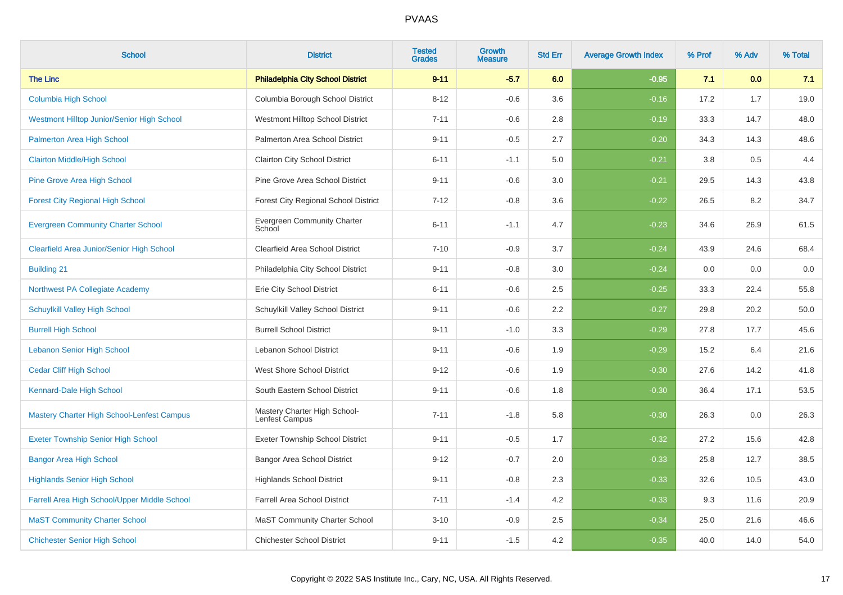| <b>School</b>                                | <b>District</b>                                | <b>Tested</b><br><b>Grades</b> | <b>Growth</b><br><b>Measure</b> | <b>Std Err</b> | <b>Average Growth Index</b> | % Prof | % Adv | % Total |
|----------------------------------------------|------------------------------------------------|--------------------------------|---------------------------------|----------------|-----------------------------|--------|-------|---------|
| <b>The Linc</b>                              | <b>Philadelphia City School District</b>       | $9 - 11$                       | $-5.7$                          | 6.0            | $-0.95$                     | 7.1    | 0.0   | 7.1     |
| <b>Columbia High School</b>                  | Columbia Borough School District               | $8 - 12$                       | $-0.6$                          | 3.6            | $-0.16$                     | 17.2   | 1.7   | 19.0    |
| Westmont Hilltop Junior/Senior High School   | Westmont Hilltop School District               | $7 - 11$                       | $-0.6$                          | 2.8            | $-0.19$                     | 33.3   | 14.7  | 48.0    |
| Palmerton Area High School                   | Palmerton Area School District                 | $9 - 11$                       | $-0.5$                          | 2.7            | $-0.20$                     | 34.3   | 14.3  | 48.6    |
| <b>Clairton Middle/High School</b>           | <b>Clairton City School District</b>           | $6 - 11$                       | $-1.1$                          | 5.0            | $-0.21$                     | 3.8    | 0.5   | 4.4     |
| <b>Pine Grove Area High School</b>           | Pine Grove Area School District                | $9 - 11$                       | $-0.6$                          | 3.0            | $-0.21$                     | 29.5   | 14.3  | 43.8    |
| <b>Forest City Regional High School</b>      | Forest City Regional School District           | $7 - 12$                       | $-0.8$                          | 3.6            | $-0.22$                     | 26.5   | 8.2   | 34.7    |
| <b>Evergreen Community Charter School</b>    | <b>Evergreen Community Charter</b><br>School   | $6 - 11$                       | $-1.1$                          | 4.7            | $-0.23$                     | 34.6   | 26.9  | 61.5    |
| Clearfield Area Junior/Senior High School    | Clearfield Area School District                | $7 - 10$                       | $-0.9$                          | 3.7            | $-0.24$                     | 43.9   | 24.6  | 68.4    |
| <b>Building 21</b>                           | Philadelphia City School District              | $9 - 11$                       | $-0.8$                          | 3.0            | $-0.24$                     | 0.0    | 0.0   | $0.0\,$ |
| Northwest PA Collegiate Academy              | Erie City School District                      | $6 - 11$                       | $-0.6$                          | 2.5            | $-0.25$                     | 33.3   | 22.4  | 55.8    |
| <b>Schuylkill Valley High School</b>         | Schuylkill Valley School District              | $9 - 11$                       | $-0.6$                          | 2.2            | $-0.27$                     | 29.8   | 20.2  | 50.0    |
| <b>Burrell High School</b>                   | <b>Burrell School District</b>                 | $9 - 11$                       | $-1.0$                          | 3.3            | $-0.29$                     | 27.8   | 17.7  | 45.6    |
| <b>Lebanon Senior High School</b>            | Lebanon School District                        | $9 - 11$                       | $-0.6$                          | 1.9            | $-0.29$                     | 15.2   | 6.4   | 21.6    |
| <b>Cedar Cliff High School</b>               | West Shore School District                     | $9 - 12$                       | $-0.6$                          | 1.9            | $-0.30$                     | 27.6   | 14.2  | 41.8    |
| Kennard-Dale High School                     | South Eastern School District                  | $9 - 11$                       | $-0.6$                          | 1.8            | $-0.30$                     | 36.4   | 17.1  | 53.5    |
| Mastery Charter High School-Lenfest Campus   | Mastery Charter High School-<br>Lenfest Campus | $7 - 11$                       | $-1.8$                          | 5.8            | $-0.30$                     | 26.3   | 0.0   | 26.3    |
| <b>Exeter Township Senior High School</b>    | <b>Exeter Township School District</b>         | $9 - 11$                       | $-0.5$                          | 1.7            | $-0.32$                     | 27.2   | 15.6  | 42.8    |
| <b>Bangor Area High School</b>               | <b>Bangor Area School District</b>             | $9 - 12$                       | $-0.7$                          | 2.0            | $-0.33$                     | 25.8   | 12.7  | 38.5    |
| <b>Highlands Senior High School</b>          | <b>Highlands School District</b>               | $9 - 11$                       | $-0.8$                          | 2.3            | $-0.33$                     | 32.6   | 10.5  | 43.0    |
| Farrell Area High School/Upper Middle School | <b>Farrell Area School District</b>            | $7 - 11$                       | $-1.4$                          | 4.2            | $-0.33$                     | 9.3    | 11.6  | 20.9    |
| <b>MaST Community Charter School</b>         | <b>MaST Community Charter School</b>           | $3 - 10$                       | $-0.9$                          | 2.5            | $-0.34$                     | 25.0   | 21.6  | 46.6    |
| <b>Chichester Senior High School</b>         | <b>Chichester School District</b>              | $9 - 11$                       | $-1.5$                          | 4.2            | $-0.35$                     | 40.0   | 14.0  | 54.0    |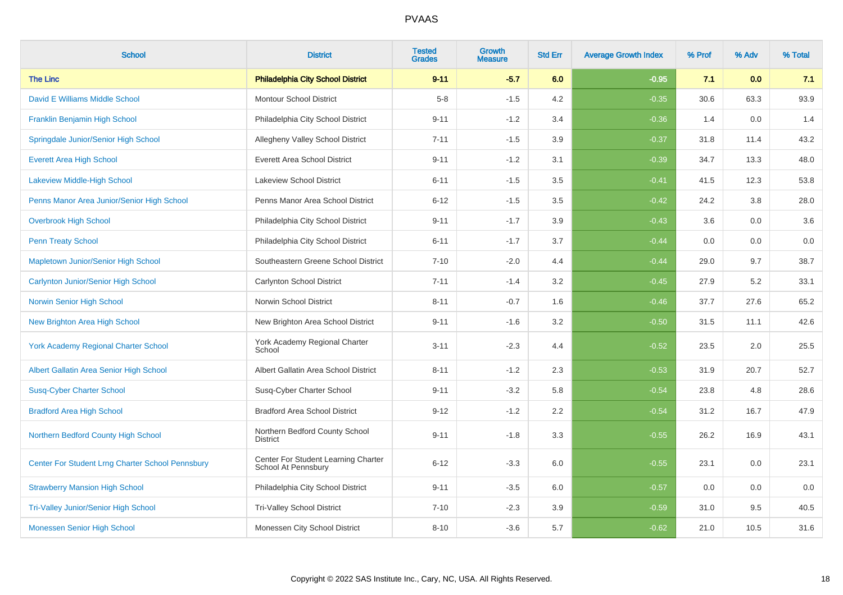| <b>School</b>                                    | <b>District</b>                                            | <b>Tested</b><br><b>Grades</b> | <b>Growth</b><br><b>Measure</b> | <b>Std Err</b> | <b>Average Growth Index</b> | % Prof | % Adv | % Total |
|--------------------------------------------------|------------------------------------------------------------|--------------------------------|---------------------------------|----------------|-----------------------------|--------|-------|---------|
| <b>The Linc</b>                                  | <b>Philadelphia City School District</b>                   | $9 - 11$                       | $-5.7$                          | 6.0            | $-0.95$                     | 7.1    | 0.0   | 7.1     |
| David E Williams Middle School                   | <b>Montour School District</b>                             | $5 - 8$                        | $-1.5$                          | 4.2            | $-0.35$                     | 30.6   | 63.3  | 93.9    |
| Franklin Benjamin High School                    | Philadelphia City School District                          | $9 - 11$                       | $-1.2$                          | 3.4            | $-0.36$                     | 1.4    | 0.0   | 1.4     |
| Springdale Junior/Senior High School             | Allegheny Valley School District                           | $7 - 11$                       | $-1.5$                          | 3.9            | $-0.37$                     | 31.8   | 11.4  | 43.2    |
| <b>Everett Area High School</b>                  | <b>Everett Area School District</b>                        | $9 - 11$                       | $-1.2$                          | 3.1            | $-0.39$                     | 34.7   | 13.3  | 48.0    |
| Lakeview Middle-High School                      | <b>Lakeview School District</b>                            | $6 - 11$                       | $-1.5$                          | 3.5            | $-0.41$                     | 41.5   | 12.3  | 53.8    |
| Penns Manor Area Junior/Senior High School       | Penns Manor Area School District                           | $6 - 12$                       | $-1.5$                          | 3.5            | $-0.42$                     | 24.2   | 3.8   | 28.0    |
| <b>Overbrook High School</b>                     | Philadelphia City School District                          | $9 - 11$                       | $-1.7$                          | 3.9            | $-0.43$                     | 3.6    | 0.0   | 3.6     |
| <b>Penn Treaty School</b>                        | Philadelphia City School District                          | $6 - 11$                       | $-1.7$                          | 3.7            | $-0.44$                     | 0.0    | 0.0   | $0.0\,$ |
| Mapletown Junior/Senior High School              | Southeastern Greene School District                        | $7 - 10$                       | $-2.0$                          | 4.4            | $-0.44$                     | 29.0   | 9.7   | 38.7    |
| Carlynton Junior/Senior High School              | Carlynton School District                                  | $7 - 11$                       | $-1.4$                          | 3.2            | $-0.45$                     | 27.9   | 5.2   | 33.1    |
| Norwin Senior High School                        | Norwin School District                                     | $8 - 11$                       | $-0.7$                          | 1.6            | $-0.46$                     | 37.7   | 27.6  | 65.2    |
| <b>New Brighton Area High School</b>             | New Brighton Area School District                          | $9 - 11$                       | $-1.6$                          | 3.2            | $-0.50$                     | 31.5   | 11.1  | 42.6    |
| <b>York Academy Regional Charter School</b>      | York Academy Regional Charter<br>School                    | $3 - 11$                       | $-2.3$                          | 4.4            | $-0.52$                     | 23.5   | 2.0   | 25.5    |
| Albert Gallatin Area Senior High School          | Albert Gallatin Area School District                       | $8 - 11$                       | $-1.2$                          | 2.3            | $-0.53$                     | 31.9   | 20.7  | 52.7    |
| <b>Susq-Cyber Charter School</b>                 | Susq-Cyber Charter School                                  | $9 - 11$                       | $-3.2$                          | 5.8            | $-0.54$                     | 23.8   | 4.8   | 28.6    |
| <b>Bradford Area High School</b>                 | <b>Bradford Area School District</b>                       | $9 - 12$                       | $-1.2$                          | 2.2            | $-0.54$                     | 31.2   | 16.7  | 47.9    |
| Northern Bedford County High School              | Northern Bedford County School<br><b>District</b>          | $9 - 11$                       | $-1.8$                          | 3.3            | $-0.55$                     | 26.2   | 16.9  | 43.1    |
| Center For Student Lrng Charter School Pennsbury | Center For Student Learning Charter<br>School At Pennsbury | $6 - 12$                       | $-3.3$                          | 6.0            | $-0.55$                     | 23.1   | 0.0   | 23.1    |
| <b>Strawberry Mansion High School</b>            | Philadelphia City School District                          | $9 - 11$                       | $-3.5$                          | 6.0            | $-0.57$                     | 0.0    | 0.0   | 0.0     |
| <b>Tri-Valley Junior/Senior High School</b>      | <b>Tri-Valley School District</b>                          | $7 - 10$                       | $-2.3$                          | 3.9            | $-0.59$                     | 31.0   | 9.5   | 40.5    |
| Monessen Senior High School                      | Monessen City School District                              | $8 - 10$                       | $-3.6$                          | 5.7            | $-0.62$                     | 21.0   | 10.5  | 31.6    |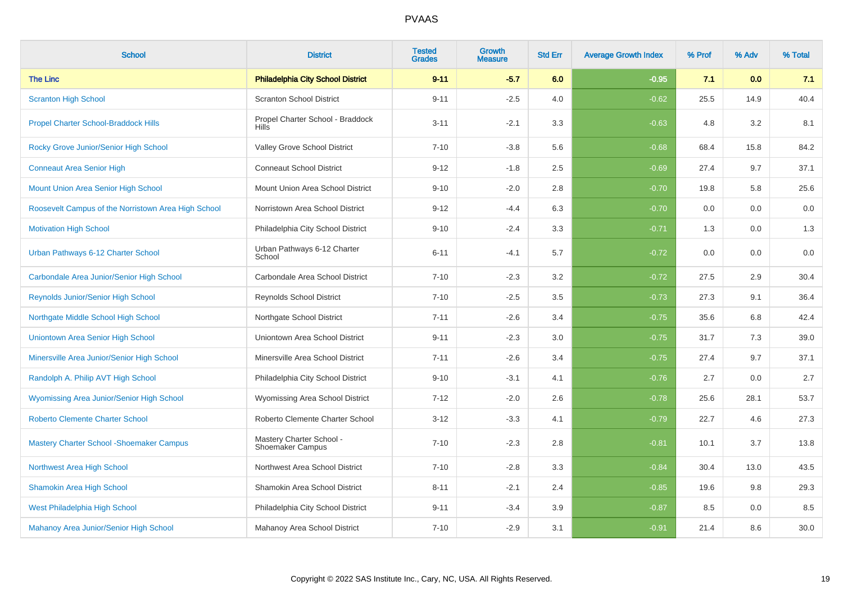| <b>School</b>                                       | <b>District</b>                                     | <b>Tested</b><br><b>Grades</b> | <b>Growth</b><br><b>Measure</b> | <b>Std Err</b> | <b>Average Growth Index</b> | % Prof | % Adv | % Total |
|-----------------------------------------------------|-----------------------------------------------------|--------------------------------|---------------------------------|----------------|-----------------------------|--------|-------|---------|
| <b>The Linc</b>                                     | <b>Philadelphia City School District</b>            | $9 - 11$                       | $-5.7$                          | 6.0            | $-0.95$                     | 7.1    | 0.0   | 7.1     |
| <b>Scranton High School</b>                         | <b>Scranton School District</b>                     | $9 - 11$                       | $-2.5$                          | 4.0            | $-0.62$                     | 25.5   | 14.9  | 40.4    |
| <b>Propel Charter School-Braddock Hills</b>         | Propel Charter School - Braddock<br><b>Hills</b>    | $3 - 11$                       | $-2.1$                          | 3.3            | $-0.63$                     | 4.8    | 3.2   | 8.1     |
| Rocky Grove Junior/Senior High School               | Valley Grove School District                        | $7 - 10$                       | $-3.8$                          | 5.6            | $-0.68$                     | 68.4   | 15.8  | 84.2    |
| <b>Conneaut Area Senior High</b>                    | <b>Conneaut School District</b>                     | $9 - 12$                       | $-1.8$                          | 2.5            | $-0.69$                     | 27.4   | 9.7   | 37.1    |
| Mount Union Area Senior High School                 | Mount Union Area School District                    | $9 - 10$                       | $-2.0$                          | 2.8            | $-0.70$                     | 19.8   | 5.8   | 25.6    |
| Roosevelt Campus of the Norristown Area High School | Norristown Area School District                     | $9 - 12$                       | $-4.4$                          | 6.3            | $-0.70$                     | 0.0    | 0.0   | 0.0     |
| <b>Motivation High School</b>                       | Philadelphia City School District                   | $9 - 10$                       | $-2.4$                          | 3.3            | $-0.71$                     | 1.3    | 0.0   | 1.3     |
| Urban Pathways 6-12 Charter School                  | Urban Pathways 6-12 Charter<br>School               | $6 - 11$                       | $-4.1$                          | 5.7            | $-0.72$                     | 0.0    | 0.0   | 0.0     |
| Carbondale Area Junior/Senior High School           | Carbondale Area School District                     | $7 - 10$                       | $-2.3$                          | 3.2            | $-0.72$                     | 27.5   | 2.9   | 30.4    |
| <b>Reynolds Junior/Senior High School</b>           | <b>Reynolds School District</b>                     | $7 - 10$                       | $-2.5$                          | 3.5            | $-0.73$                     | 27.3   | 9.1   | 36.4    |
| Northgate Middle School High School                 | Northgate School District                           | $7 - 11$                       | $-2.6$                          | 3.4            | $-0.75$                     | 35.6   | 6.8   | 42.4    |
| <b>Uniontown Area Senior High School</b>            | Uniontown Area School District                      | $9 - 11$                       | $-2.3$                          | 3.0            | $-0.75$                     | 31.7   | 7.3   | 39.0    |
| Minersville Area Junior/Senior High School          | Minersville Area School District                    | $7 - 11$                       | $-2.6$                          | 3.4            | $-0.75$                     | 27.4   | 9.7   | 37.1    |
| Randolph A. Philip AVT High School                  | Philadelphia City School District                   | $9 - 10$                       | $-3.1$                          | 4.1            | $-0.76$                     | 2.7    | 0.0   | 2.7     |
| Wyomissing Area Junior/Senior High School           | Wyomissing Area School District                     | $7 - 12$                       | $-2.0$                          | 2.6            | $-0.78$                     | 25.6   | 28.1  | 53.7    |
| <b>Roberto Clemente Charter School</b>              | Roberto Clemente Charter School                     | $3 - 12$                       | $-3.3$                          | 4.1            | $-0.79$                     | 22.7   | 4.6   | 27.3    |
| <b>Mastery Charter School - Shoemaker Campus</b>    | Mastery Charter School -<br><b>Shoemaker Campus</b> | $7 - 10$                       | $-2.3$                          | 2.8            | $-0.81$                     | 10.1   | 3.7   | 13.8    |
| <b>Northwest Area High School</b>                   | Northwest Area School District                      | $7 - 10$                       | $-2.8$                          | 3.3            | $-0.84$                     | 30.4   | 13.0  | 43.5    |
| <b>Shamokin Area High School</b>                    | Shamokin Area School District                       | $8 - 11$                       | $-2.1$                          | 2.4            | $-0.85$                     | 19.6   | 9.8   | 29.3    |
| West Philadelphia High School                       | Philadelphia City School District                   | $9 - 11$                       | $-3.4$                          | 3.9            | $-0.87$                     | 8.5    | 0.0   | 8.5     |
| Mahanoy Area Junior/Senior High School              | Mahanoy Area School District                        | $7 - 10$                       | $-2.9$                          | 3.1            | $-0.91$                     | 21.4   | 8.6   | 30.0    |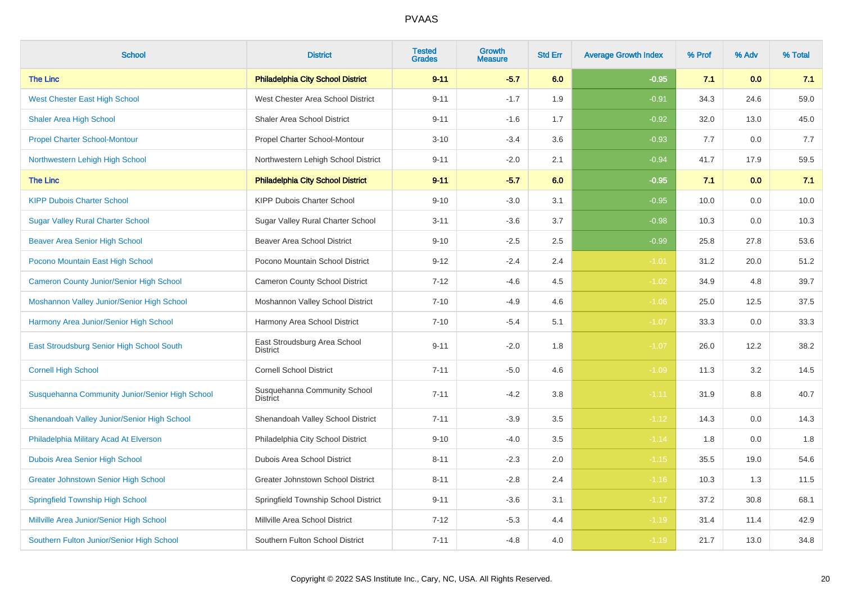| <b>School</b>                                   | <b>District</b>                                 | <b>Tested</b><br><b>Grades</b> | <b>Growth</b><br><b>Measure</b> | <b>Std Err</b> | <b>Average Growth Index</b> | % Prof | % Adv | % Total |
|-------------------------------------------------|-------------------------------------------------|--------------------------------|---------------------------------|----------------|-----------------------------|--------|-------|---------|
| <b>The Linc</b>                                 | <b>Philadelphia City School District</b>        | $9 - 11$                       | $-5.7$                          | 6.0            | $-0.95$                     | 7.1    | 0.0   | 7.1     |
| <b>West Chester East High School</b>            | West Chester Area School District               | $9 - 11$                       | $-1.7$                          | 1.9            | $-0.91$                     | 34.3   | 24.6  | 59.0    |
| <b>Shaler Area High School</b>                  | Shaler Area School District                     | $9 - 11$                       | $-1.6$                          | 1.7            | $-0.92$                     | 32.0   | 13.0  | 45.0    |
| <b>Propel Charter School-Montour</b>            | Propel Charter School-Montour                   | $3 - 10$                       | $-3.4$                          | 3.6            | $-0.93$                     | 7.7    | 0.0   | 7.7     |
| Northwestern Lehigh High School                 | Northwestern Lehigh School District             | $9 - 11$                       | $-2.0$                          | 2.1            | $-0.94$                     | 41.7   | 17.9  | 59.5    |
| <b>The Linc</b>                                 | <b>Philadelphia City School District</b>        | $9 - 11$                       | $-5.7$                          | 6.0            | $-0.95$                     | 7.1    | 0.0   | 7.1     |
| <b>KIPP Dubois Charter School</b>               | KIPP Dubois Charter School                      | $9 - 10$                       | $-3.0$                          | 3.1            | $-0.95$                     | 10.0   | 0.0   | 10.0    |
| <b>Sugar Valley Rural Charter School</b>        | Sugar Valley Rural Charter School               | $3 - 11$                       | $-3.6$                          | 3.7            | $-0.98$                     | 10.3   | 0.0   | 10.3    |
| <b>Beaver Area Senior High School</b>           | <b>Beaver Area School District</b>              | $9 - 10$                       | $-2.5$                          | 2.5            | $-0.99$                     | 25.8   | 27.8  | 53.6    |
| Pocono Mountain East High School                | Pocono Mountain School District                 | $9 - 12$                       | $-2.4$                          | 2.4            | $-1.01$                     | 31.2   | 20.0  | 51.2    |
| <b>Cameron County Junior/Senior High School</b> | Cameron County School District                  | $7 - 12$                       | $-4.6$                          | 4.5            | $-1.02$                     | 34.9   | 4.8   | 39.7    |
| Moshannon Valley Junior/Senior High School      | Moshannon Valley School District                | $7 - 10$                       | $-4.9$                          | 4.6            | $-1.06$                     | 25.0   | 12.5  | 37.5    |
| Harmony Area Junior/Senior High School          | Harmony Area School District                    | $7 - 10$                       | $-5.4$                          | 5.1            | $-1.07$                     | 33.3   | 0.0   | 33.3    |
| East Stroudsburg Senior High School South       | East Stroudsburg Area School<br><b>District</b> | $9 - 11$                       | $-2.0$                          | 1.8            | $-1.07$                     | 26.0   | 12.2  | 38.2    |
| <b>Cornell High School</b>                      | <b>Cornell School District</b>                  | $7 - 11$                       | $-5.0$                          | 4.6            | $-1.09$                     | 11.3   | 3.2   | 14.5    |
| Susquehanna Community Junior/Senior High School | Susquehanna Community School<br><b>District</b> | $7 - 11$                       | $-4.2$                          | 3.8            | $-1.11$                     | 31.9   | 8.8   | 40.7    |
| Shenandoah Valley Junior/Senior High School     | Shenandoah Valley School District               | $7 - 11$                       | $-3.9$                          | 3.5            | $-1.12$                     | 14.3   | 0.0   | 14.3    |
| Philadelphia Military Acad At Elverson          | Philadelphia City School District               | $9 - 10$                       | $-4.0$                          | 3.5            | $-1.14$                     | 1.8    | 0.0   | 1.8     |
| Dubois Area Senior High School                  | Dubois Area School District                     | $8 - 11$                       | $-2.3$                          | 2.0            | $-1.15$                     | 35.5   | 19.0  | 54.6    |
| <b>Greater Johnstown Senior High School</b>     | Greater Johnstown School District               | $8 - 11$                       | $-2.8$                          | 2.4            | $-1.16$                     | 10.3   | 1.3   | 11.5    |
| <b>Springfield Township High School</b>         | Springfield Township School District            | $9 - 11$                       | $-3.6$                          | 3.1            | $-1.17$                     | 37.2   | 30.8  | 68.1    |
| Millville Area Junior/Senior High School        | Millville Area School District                  | $7 - 12$                       | $-5.3$                          | 4.4            | $-1.19$                     | 31.4   | 11.4  | 42.9    |
| Southern Fulton Junior/Senior High School       | Southern Fulton School District                 | $7 - 11$                       | $-4.8$                          | 4.0            | $-1.19$                     | 21.7   | 13.0  | 34.8    |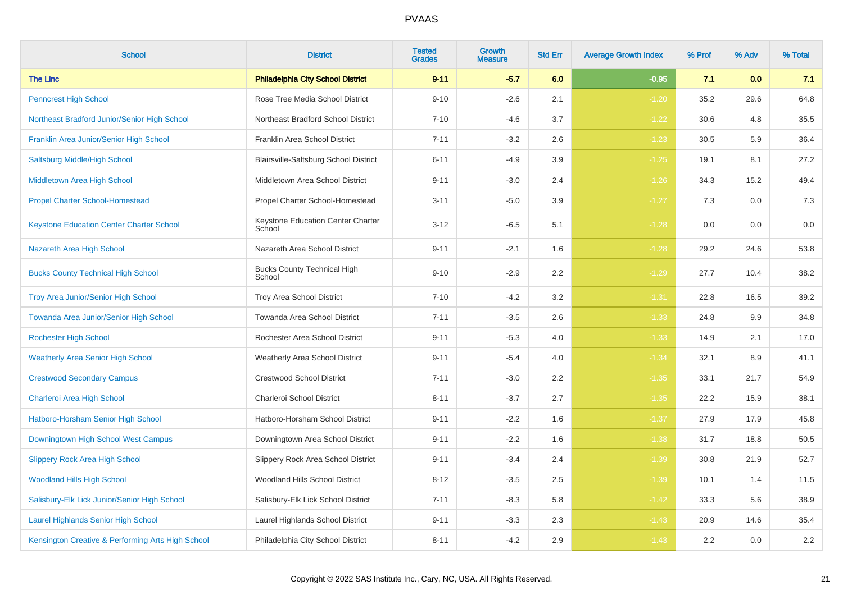| <b>School</b>                                     | <b>District</b>                              | <b>Tested</b><br><b>Grades</b> | <b>Growth</b><br><b>Measure</b> | <b>Std Err</b> | <b>Average Growth Index</b> | % Prof | % Adv | % Total |
|---------------------------------------------------|----------------------------------------------|--------------------------------|---------------------------------|----------------|-----------------------------|--------|-------|---------|
| <b>The Linc</b>                                   | <b>Philadelphia City School District</b>     | $9 - 11$                       | $-5.7$                          | 6.0            | $-0.95$                     | 7.1    | 0.0   | 7.1     |
| <b>Penncrest High School</b>                      | Rose Tree Media School District              | $9 - 10$                       | $-2.6$                          | 2.1            | $-1.20$                     | 35.2   | 29.6  | 64.8    |
| Northeast Bradford Junior/Senior High School      | Northeast Bradford School District           | $7 - 10$                       | $-4.6$                          | 3.7            | $-1.22$                     | 30.6   | 4.8   | 35.5    |
| Franklin Area Junior/Senior High School           | Franklin Area School District                | $7 - 11$                       | $-3.2$                          | 2.6            | $-1.23$                     | 30.5   | 5.9   | 36.4    |
| Saltsburg Middle/High School                      | Blairsville-Saltsburg School District        | $6 - 11$                       | $-4.9$                          | 3.9            | $-1.25$                     | 19.1   | 8.1   | 27.2    |
| Middletown Area High School                       | Middletown Area School District              | $9 - 11$                       | $-3.0$                          | 2.4            | $-1.26$                     | 34.3   | 15.2  | 49.4    |
| <b>Propel Charter School-Homestead</b>            | Propel Charter School-Homestead              | $3 - 11$                       | $-5.0$                          | 3.9            | $-1.27$                     | 7.3    | 0.0   | $7.3$   |
| <b>Keystone Education Center Charter School</b>   | Keystone Education Center Charter<br>School  | $3 - 12$                       | $-6.5$                          | 5.1            | $-1.28$                     | 0.0    | 0.0   | 0.0     |
| Nazareth Area High School                         | Nazareth Area School District                | $9 - 11$                       | $-2.1$                          | 1.6            | $-1.28$                     | 29.2   | 24.6  | 53.8    |
| <b>Bucks County Technical High School</b>         | <b>Bucks County Technical High</b><br>School | $9 - 10$                       | $-2.9$                          | 2.2            | $-1.29$                     | 27.7   | 10.4  | 38.2    |
| <b>Troy Area Junior/Senior High School</b>        | Troy Area School District                    | $7 - 10$                       | $-4.2$                          | 3.2            | $-1.31$                     | 22.8   | 16.5  | 39.2    |
| Towanda Area Junior/Senior High School            | Towanda Area School District                 | $7 - 11$                       | $-3.5$                          | 2.6            | $-1.33$                     | 24.8   | 9.9   | 34.8    |
| <b>Rochester High School</b>                      | Rochester Area School District               | $9 - 11$                       | $-5.3$                          | 4.0            | $-1.33$                     | 14.9   | 2.1   | 17.0    |
| <b>Weatherly Area Senior High School</b>          | <b>Weatherly Area School District</b>        | $9 - 11$                       | $-5.4$                          | 4.0            | $-1.34$                     | 32.1   | 8.9   | 41.1    |
| <b>Crestwood Secondary Campus</b>                 | <b>Crestwood School District</b>             | $7 - 11$                       | $-3.0$                          | 2.2            | $-1.35$                     | 33.1   | 21.7  | 54.9    |
| Charleroi Area High School                        | Charleroi School District                    | $8 - 11$                       | $-3.7$                          | 2.7            | $-1.35$                     | 22.2   | 15.9  | 38.1    |
| Hatboro-Horsham Senior High School                | Hatboro-Horsham School District              | $9 - 11$                       | $-2.2$                          | 1.6            | $-1.37$                     | 27.9   | 17.9  | 45.8    |
| Downingtown High School West Campus               | Downingtown Area School District             | $9 - 11$                       | $-2.2$                          | 1.6            | $-1.38$                     | 31.7   | 18.8  | 50.5    |
| <b>Slippery Rock Area High School</b>             | Slippery Rock Area School District           | $9 - 11$                       | $-3.4$                          | 2.4            | $-1.39$                     | 30.8   | 21.9  | 52.7    |
| <b>Woodland Hills High School</b>                 | Woodland Hills School District               | $8 - 12$                       | $-3.5$                          | 2.5            | $-1.39$                     | 10.1   | 1.4   | 11.5    |
| Salisbury-Elk Lick Junior/Senior High School      | Salisbury-Elk Lick School District           | $7 - 11$                       | $-8.3$                          | 5.8            | $-1.42$                     | 33.3   | 5.6   | 38.9    |
| <b>Laurel Highlands Senior High School</b>        | Laurel Highlands School District             | $9 - 11$                       | $-3.3$                          | 2.3            | $-1.43$                     | 20.9   | 14.6  | 35.4    |
| Kensington Creative & Performing Arts High School | Philadelphia City School District            | $8 - 11$                       | $-4.2$                          | 2.9            | $-1.43$                     | 2.2    | 0.0   | $2.2\,$ |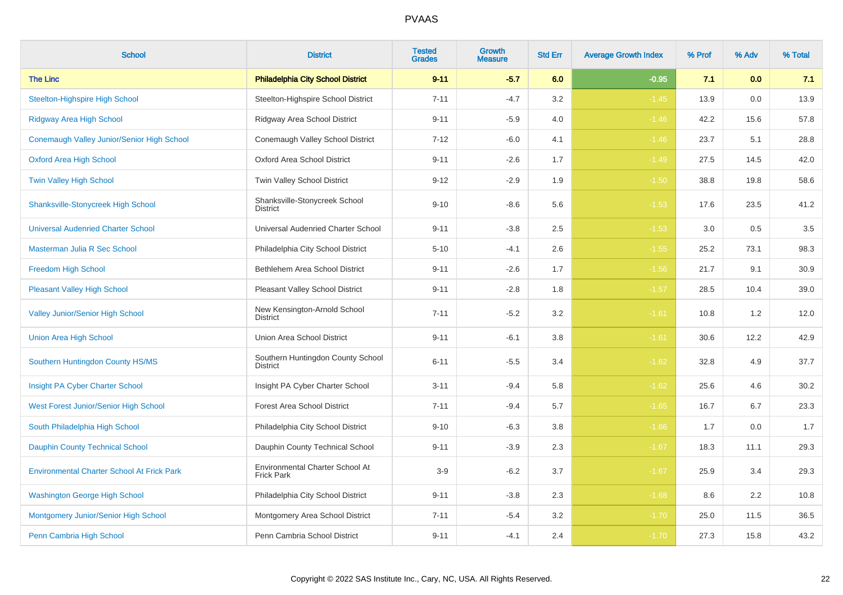| <b>School</b>                                     | <b>District</b>                                      | <b>Tested</b><br><b>Grades</b> | Growth<br><b>Measure</b> | <b>Std Err</b> | <b>Average Growth Index</b> | % Prof | % Adv | % Total |
|---------------------------------------------------|------------------------------------------------------|--------------------------------|--------------------------|----------------|-----------------------------|--------|-------|---------|
| <b>The Linc</b>                                   | <b>Philadelphia City School District</b>             | $9 - 11$                       | $-5.7$                   | 6.0            | $-0.95$                     | 7.1    | 0.0   | 7.1     |
| <b>Steelton-Highspire High School</b>             | Steelton-Highspire School District                   | $7 - 11$                       | $-4.7$                   | 3.2            | $-1.45$                     | 13.9   | 0.0   | 13.9    |
| Ridgway Area High School                          | Ridgway Area School District                         | $9 - 11$                       | $-5.9$                   | 4.0            | $-1.46$                     | 42.2   | 15.6  | 57.8    |
| Conemaugh Valley Junior/Senior High School        | Conemaugh Valley School District                     | $7 - 12$                       | $-6.0$                   | 4.1            | $-1.46$                     | 23.7   | 5.1   | 28.8    |
| <b>Oxford Area High School</b>                    | Oxford Area School District                          | $9 - 11$                       | $-2.6$                   | 1.7            | $-1.49$                     | 27.5   | 14.5  | 42.0    |
| Twin Valley High School                           | Twin Valley School District                          | $9 - 12$                       | $-2.9$                   | 1.9            | $-1.50$                     | 38.8   | 19.8  | 58.6    |
| <b>Shanksville-Stonycreek High School</b>         | Shanksville-Stonycreek School<br><b>District</b>     | $9 - 10$                       | $-8.6$                   | 5.6            | $-1.53$                     | 17.6   | 23.5  | 41.2    |
| <b>Universal Audenried Charter School</b>         | Universal Audenried Charter School                   | $9 - 11$                       | $-3.8$                   | 2.5            | $-1.53$                     | 3.0    | 0.5   | $3.5\,$ |
| Masterman Julia R Sec School                      | Philadelphia City School District                    | $5 - 10$                       | $-4.1$                   | 2.6            | $-1.55$                     | 25.2   | 73.1  | 98.3    |
| Freedom High School                               | Bethlehem Area School District                       | $9 - 11$                       | $-2.6$                   | 1.7            | $-1.56$                     | 21.7   | 9.1   | 30.9    |
| <b>Pleasant Valley High School</b>                | Pleasant Valley School District                      | $9 - 11$                       | $-2.8$                   | 1.8            | $-1.57$                     | 28.5   | 10.4  | 39.0    |
| <b>Valley Junior/Senior High School</b>           | New Kensington-Arnold School<br><b>District</b>      | $7 - 11$                       | $-5.2$                   | 3.2            | $-1.61$                     | 10.8   | 1.2   | 12.0    |
| <b>Union Area High School</b>                     | Union Area School District                           | $9 - 11$                       | $-6.1$                   | 3.8            | $-1.61$                     | 30.6   | 12.2  | 42.9    |
| Southern Huntingdon County HS/MS                  | Southern Huntingdon County School<br><b>District</b> | $6 - 11$                       | $-5.5$                   | 3.4            | $-1.62$                     | 32.8   | 4.9   | 37.7    |
| Insight PA Cyber Charter School                   | Insight PA Cyber Charter School                      | $3 - 11$                       | $-9.4$                   | 5.8            | $-1.62$                     | 25.6   | 4.6   | 30.2    |
| West Forest Junior/Senior High School             | <b>Forest Area School District</b>                   | $7 - 11$                       | $-9.4$                   | 5.7            | $-1.65$                     | 16.7   | 6.7   | 23.3    |
| South Philadelphia High School                    | Philadelphia City School District                    | $9 - 10$                       | $-6.3$                   | 3.8            | $-1.66$                     | 1.7    | 0.0   | 1.7     |
| <b>Dauphin County Technical School</b>            | Dauphin County Technical School                      | $9 - 11$                       | $-3.9$                   | 2.3            | $-1.67$                     | 18.3   | 11.1  | 29.3    |
| <b>Environmental Charter School At Frick Park</b> | Environmental Charter School At<br><b>Frick Park</b> | $3-9$                          | $-6.2$                   | 3.7            | $-1.67$                     | 25.9   | 3.4   | 29.3    |
| <b>Washington George High School</b>              | Philadelphia City School District                    | $9 - 11$                       | $-3.8$                   | $2.3\,$        | $-1.68$                     | 8.6    | 2.2   | 10.8    |
| Montgomery Junior/Senior High School              | Montgomery Area School District                      | $7 - 11$                       | $-5.4$                   | $3.2\,$        | $-1.70$                     | 25.0   | 11.5  | 36.5    |
| Penn Cambria High School                          | Penn Cambria School District                         | $9 - 11$                       | $-4.1$                   | 2.4            | $-1.70$                     | 27.3   | 15.8  | 43.2    |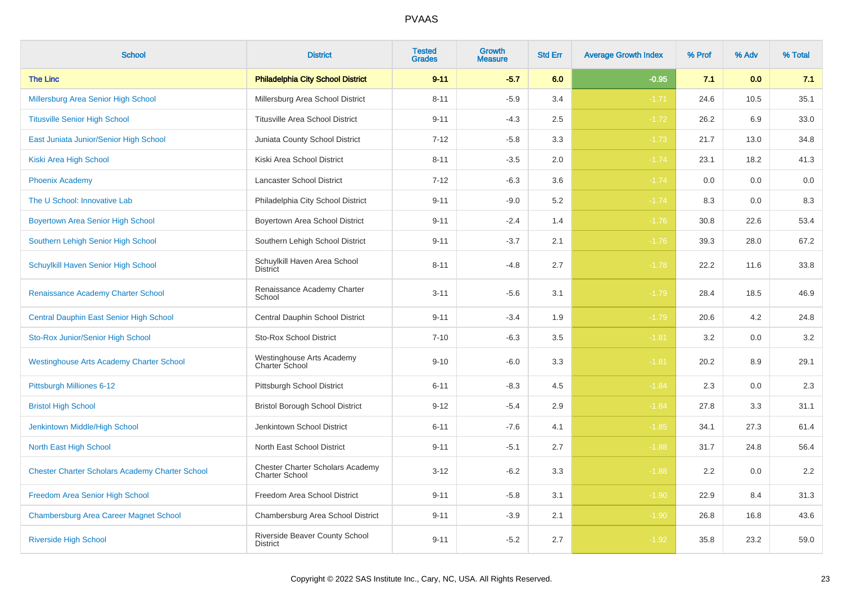| <b>School</b>                                          | <b>District</b>                                                  | <b>Tested</b><br><b>Grades</b> | Growth<br><b>Measure</b> | <b>Std Err</b> | <b>Average Growth Index</b> | % Prof | % Adv | % Total |
|--------------------------------------------------------|------------------------------------------------------------------|--------------------------------|--------------------------|----------------|-----------------------------|--------|-------|---------|
| <b>The Linc</b>                                        | <b>Philadelphia City School District</b>                         | $9 - 11$                       | $-5.7$                   | 6.0            | $-0.95$                     | 7.1    | 0.0   | 7.1     |
| Millersburg Area Senior High School                    | Millersburg Area School District                                 | $8 - 11$                       | $-5.9$                   | 3.4            | $-1.71$                     | 24.6   | 10.5  | 35.1    |
| <b>Titusville Senior High School</b>                   | <b>Titusville Area School District</b>                           | $9 - 11$                       | $-4.3$                   | 2.5            | $-1.72$                     | 26.2   | 6.9   | 33.0    |
| East Juniata Junior/Senior High School                 | Juniata County School District                                   | $7 - 12$                       | $-5.8$                   | 3.3            | $-1.73$                     | 21.7   | 13.0  | 34.8    |
| Kiski Area High School                                 | Kiski Area School District                                       | $8 - 11$                       | $-3.5$                   | 2.0            | $-1.74$                     | 23.1   | 18.2  | 41.3    |
| <b>Phoenix Academy</b>                                 | Lancaster School District                                        | $7 - 12$                       | $-6.3$                   | 3.6            | $-1.74$                     | 0.0    | 0.0   | 0.0     |
| The U School: Innovative Lab                           | Philadelphia City School District                                | $9 - 11$                       | $-9.0$                   | 5.2            | $-1.74$                     | 8.3    | 0.0   | 8.3     |
| Boyertown Area Senior High School                      | Boyertown Area School District                                   | $9 - 11$                       | $-2.4$                   | 1.4            | $-1.76$                     | 30.8   | 22.6  | 53.4    |
| Southern Lehigh Senior High School                     | Southern Lehigh School District                                  | $9 - 11$                       | $-3.7$                   | 2.1            | $-1.76$                     | 39.3   | 28.0  | 67.2    |
| Schuylkill Haven Senior High School                    | Schuylkill Haven Area School<br><b>District</b>                  | $8 - 11$                       | $-4.8$                   | 2.7            | $-1.78$                     | 22.2   | 11.6  | 33.8    |
| Renaissance Academy Charter School                     | Renaissance Academy Charter<br>School                            | $3 - 11$                       | $-5.6$                   | 3.1            | $-1.79$                     | 28.4   | 18.5  | 46.9    |
| Central Dauphin East Senior High School                | Central Dauphin School District                                  | $9 - 11$                       | $-3.4$                   | 1.9            | $-1.79$                     | 20.6   | 4.2   | 24.8    |
| Sto-Rox Junior/Senior High School                      | <b>Sto-Rox School District</b>                                   | $7 - 10$                       | $-6.3$                   | 3.5            | $-1.81$                     | 3.2    | 0.0   | 3.2     |
| <b>Westinghouse Arts Academy Charter School</b>        | Westinghouse Arts Academy<br>Charter School                      | $9 - 10$                       | $-6.0$                   | 3.3            | $-1.81$                     | 20.2   | 8.9   | 29.1    |
| Pittsburgh Milliones 6-12                              | Pittsburgh School District                                       | $6 - 11$                       | $-8.3$                   | 4.5            | $-1.84$                     | 2.3    | 0.0   | 2.3     |
| <b>Bristol High School</b>                             | <b>Bristol Borough School District</b>                           | $9 - 12$                       | $-5.4$                   | 2.9            | $-1.84$                     | 27.8   | 3.3   | 31.1    |
| Jenkintown Middle/High School                          | Jenkintown School District                                       | $6 - 11$                       | $-7.6$                   | 4.1            | $-1.85$                     | 34.1   | 27.3  | 61.4    |
| North East High School                                 | North East School District                                       | $9 - 11$                       | $-5.1$                   | 2.7            | $-1.88$                     | 31.7   | 24.8  | 56.4    |
| <b>Chester Charter Scholars Academy Charter School</b> | <b>Chester Charter Scholars Academy</b><br><b>Charter School</b> | $3 - 12$                       | $-6.2$                   | 3.3            | $-1.88$                     | 2.2    | 0.0   | 2.2     |
| Freedom Area Senior High School                        | Freedom Area School District                                     | $9 - 11$                       | $-5.8$                   | 3.1            | $-1.90$                     | 22.9   | 8.4   | 31.3    |
| <b>Chambersburg Area Career Magnet School</b>          | Chambersburg Area School District                                | $9 - 11$                       | $-3.9$                   | 2.1            | $-1.90$                     | 26.8   | 16.8  | 43.6    |
| <b>Riverside High School</b>                           | Riverside Beaver County School<br><b>District</b>                | $9 - 11$                       | $-5.2$                   | 2.7            | $-1.92$                     | 35.8   | 23.2  | 59.0    |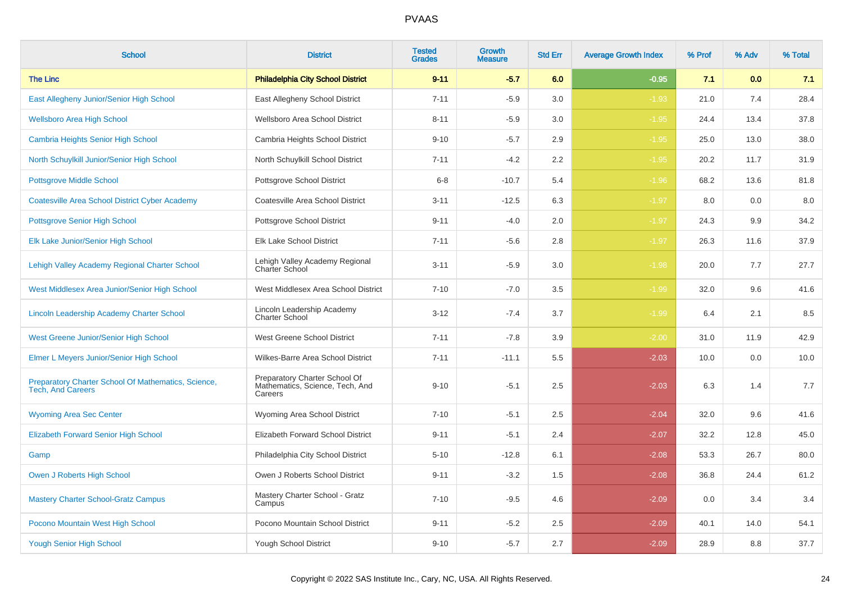| <b>School</b>                                                                   | <b>District</b>                                                             | <b>Tested</b><br><b>Grades</b> | <b>Growth</b><br><b>Measure</b> | <b>Std Err</b> | <b>Average Growth Index</b> | % Prof | % Adv | % Total |
|---------------------------------------------------------------------------------|-----------------------------------------------------------------------------|--------------------------------|---------------------------------|----------------|-----------------------------|--------|-------|---------|
| <b>The Linc</b>                                                                 | <b>Philadelphia City School District</b>                                    | $9 - 11$                       | $-5.7$                          | 6.0            | $-0.95$                     | 7.1    | 0.0   | 7.1     |
| East Allegheny Junior/Senior High School                                        | East Allegheny School District                                              | $7 - 11$                       | $-5.9$                          | 3.0            | $-1.93$                     | 21.0   | 7.4   | 28.4    |
| <b>Wellsboro Area High School</b>                                               | Wellsboro Area School District                                              | $8 - 11$                       | $-5.9$                          | 3.0            | $-1.95$                     | 24.4   | 13.4  | 37.8    |
| <b>Cambria Heights Senior High School</b>                                       | Cambria Heights School District                                             | $9 - 10$                       | $-5.7$                          | 2.9            | $-1.95$                     | 25.0   | 13.0  | 38.0    |
| North Schuylkill Junior/Senior High School                                      | North Schuylkill School District                                            | $7 - 11$                       | $-4.2$                          | 2.2            | $-1.95$                     | 20.2   | 11.7  | 31.9    |
| <b>Pottsgrove Middle School</b>                                                 | Pottsgrove School District                                                  | $6 - 8$                        | $-10.7$                         | 5.4            | $-1.96$                     | 68.2   | 13.6  | 81.8    |
| <b>Coatesville Area School District Cyber Academy</b>                           | Coatesville Area School District                                            | $3 - 11$                       | $-12.5$                         | 6.3            | $-1.97$                     | 8.0    | 0.0   | 8.0     |
| <b>Pottsgrove Senior High School</b>                                            | Pottsgrove School District                                                  | $9 - 11$                       | $-4.0$                          | 2.0            | $-1.97$                     | 24.3   | 9.9   | 34.2    |
| Elk Lake Junior/Senior High School                                              | Elk Lake School District                                                    | $7 - 11$                       | $-5.6$                          | 2.8            | $-1.97$                     | 26.3   | 11.6  | 37.9    |
| Lehigh Valley Academy Regional Charter School                                   | Lehigh Valley Academy Regional<br>Charter School                            | $3 - 11$                       | $-5.9$                          | 3.0            | $-1.98$                     | 20.0   | 7.7   | 27.7    |
| West Middlesex Area Junior/Senior High School                                   | West Middlesex Area School District                                         | $7 - 10$                       | $-7.0$                          | 3.5            | $-1.99$                     | 32.0   | 9.6   | 41.6    |
| Lincoln Leadership Academy Charter School                                       | Lincoln Leadership Academy<br><b>Charter School</b>                         | $3 - 12$                       | $-7.4$                          | 3.7            | $-1.99$                     | 6.4    | 2.1   | 8.5     |
| <b>West Greene Junior/Senior High School</b>                                    | West Greene School District                                                 | $7 - 11$                       | $-7.8$                          | 3.9            | $-2.00$                     | 31.0   | 11.9  | 42.9    |
| Elmer L Meyers Junior/Senior High School                                        | Wilkes-Barre Area School District                                           | $7 - 11$                       | $-11.1$                         | 5.5            | $-2.03$                     | 10.0   | 0.0   | 10.0    |
| Preparatory Charter School Of Mathematics, Science,<br><b>Tech. And Careers</b> | Preparatory Charter School Of<br>Mathematics, Science, Tech, And<br>Careers | $9 - 10$                       | $-5.1$                          | 2.5            | $-2.03$                     | 6.3    | 1.4   | 7.7     |
| <b>Wyoming Area Sec Center</b>                                                  | Wyoming Area School District                                                | $7 - 10$                       | $-5.1$                          | 2.5            | $-2.04$                     | 32.0   | 9.6   | 41.6    |
| <b>Elizabeth Forward Senior High School</b>                                     | Elizabeth Forward School District                                           | $9 - 11$                       | $-5.1$                          | 2.4            | $-2.07$                     | 32.2   | 12.8  | 45.0    |
| Gamp                                                                            | Philadelphia City School District                                           | $5 - 10$                       | $-12.8$                         | 6.1            | $-2.08$                     | 53.3   | 26.7  | 80.0    |
| <b>Owen J Roberts High School</b>                                               | Owen J Roberts School District                                              | $9 - 11$                       | $-3.2$                          | 1.5            | $-2.08$                     | 36.8   | 24.4  | 61.2    |
| <b>Mastery Charter School-Gratz Campus</b>                                      | Mastery Charter School - Gratz<br>Campus                                    | $7 - 10$                       | $-9.5$                          | 4.6            | $-2.09$                     | 0.0    | 3.4   | 3.4     |
| Pocono Mountain West High School                                                | Pocono Mountain School District                                             | $9 - 11$                       | $-5.2$                          | 2.5            | $-2.09$                     | 40.1   | 14.0  | 54.1    |
| <b>Yough Senior High School</b>                                                 | Yough School District                                                       | $9 - 10$                       | $-5.7$                          | 2.7            | $-2.09$                     | 28.9   | 8.8   | 37.7    |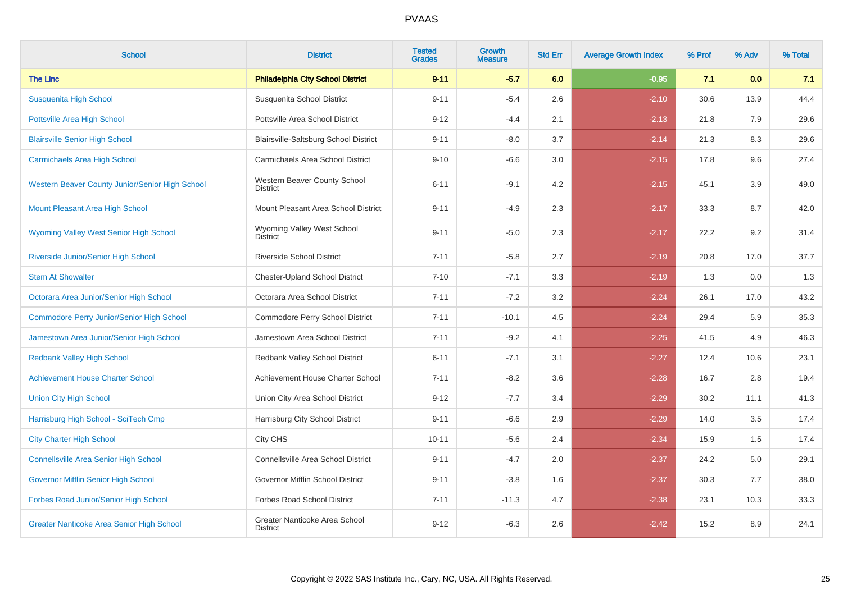| <b>School</b>                                    | <b>District</b>                                  | <b>Tested</b><br><b>Grades</b> | Growth<br><b>Measure</b> | <b>Std Err</b> | <b>Average Growth Index</b> | % Prof | % Adv | % Total |
|--------------------------------------------------|--------------------------------------------------|--------------------------------|--------------------------|----------------|-----------------------------|--------|-------|---------|
| <b>The Linc</b>                                  | <b>Philadelphia City School District</b>         | $9 - 11$                       | $-5.7$                   | 6.0            | $-0.95$                     | 7.1    | 0.0   | 7.1     |
| <b>Susquenita High School</b>                    | Susquenita School District                       | $9 - 11$                       | $-5.4$                   | 2.6            | $-2.10$                     | 30.6   | 13.9  | 44.4    |
| <b>Pottsville Area High School</b>               | Pottsville Area School District                  | $9 - 12$                       | $-4.4$                   | 2.1            | $-2.13$                     | 21.8   | 7.9   | 29.6    |
| <b>Blairsville Senior High School</b>            | Blairsville-Saltsburg School District            | $9 - 11$                       | $-8.0$                   | 3.7            | $-2.14$                     | 21.3   | 8.3   | 29.6    |
| <b>Carmichaels Area High School</b>              | Carmichaels Area School District                 | $9 - 10$                       | $-6.6$                   | 3.0            | $-2.15$                     | 17.8   | 9.6   | 27.4    |
| Western Beaver County Junior/Senior High School  | Western Beaver County School<br><b>District</b>  | $6 - 11$                       | $-9.1$                   | 4.2            | $-2.15$                     | 45.1   | 3.9   | 49.0    |
| Mount Pleasant Area High School                  | Mount Pleasant Area School District              | $9 - 11$                       | $-4.9$                   | 2.3            | $-2.17$                     | 33.3   | 8.7   | 42.0    |
| <b>Wyoming Valley West Senior High School</b>    | Wyoming Valley West School<br><b>District</b>    | $9 - 11$                       | $-5.0$                   | 2.3            | $-2.17$                     | 22.2   | 9.2   | 31.4    |
| Riverside Junior/Senior High School              | <b>Riverside School District</b>                 | $7 - 11$                       | $-5.8$                   | 2.7            | $-2.19$                     | 20.8   | 17.0  | 37.7    |
| <b>Stem At Showalter</b>                         | <b>Chester-Upland School District</b>            | $7 - 10$                       | $-7.1$                   | 3.3            | $-2.19$                     | 1.3    | 0.0   | 1.3     |
| Octorara Area Junior/Senior High School          | Octorara Area School District                    | $7 - 11$                       | $-7.2$                   | 3.2            | $-2.24$                     | 26.1   | 17.0  | 43.2    |
| <b>Commodore Perry Junior/Senior High School</b> | Commodore Perry School District                  | $7 - 11$                       | $-10.1$                  | 4.5            | $-2.24$                     | 29.4   | 5.9   | 35.3    |
| Jamestown Area Junior/Senior High School         | Jamestown Area School District                   | $7 - 11$                       | $-9.2$                   | 4.1            | $-2.25$                     | 41.5   | 4.9   | 46.3    |
| <b>Redbank Valley High School</b>                | Redbank Valley School District                   | $6 - 11$                       | $-7.1$                   | 3.1            | $-2.27$                     | 12.4   | 10.6  | 23.1    |
| <b>Achievement House Charter School</b>          | Achievement House Charter School                 | $7 - 11$                       | $-8.2$                   | 3.6            | $-2.28$                     | 16.7   | 2.8   | 19.4    |
| <b>Union City High School</b>                    | Union City Area School District                  | $9 - 12$                       | $-7.7$                   | 3.4            | $-2.29$                     | 30.2   | 11.1  | 41.3    |
| Harrisburg High School - SciTech Cmp             | Harrisburg City School District                  | $9 - 11$                       | $-6.6$                   | 2.9            | $-2.29$                     | 14.0   | 3.5   | 17.4    |
| <b>City Charter High School</b>                  | City CHS                                         | $10 - 11$                      | $-5.6$                   | 2.4            | $-2.34$                     | 15.9   | 1.5   | 17.4    |
| <b>Connellsville Area Senior High School</b>     | Connellsville Area School District               | $9 - 11$                       | $-4.7$                   | 2.0            | $-2.37$                     | 24.2   | 5.0   | 29.1    |
| Governor Mifflin Senior High School              | Governor Mifflin School District                 | $9 - 11$                       | $-3.8$                   | 1.6            | $-2.37$                     | 30.3   | 7.7   | 38.0    |
| Forbes Road Junior/Senior High School            | <b>Forbes Road School District</b>               | $7 - 11$                       | $-11.3$                  | 4.7            | $-2.38$                     | 23.1   | 10.3  | 33.3    |
| <b>Greater Nanticoke Area Senior High School</b> | Greater Nanticoke Area School<br><b>District</b> | $9 - 12$                       | $-6.3$                   | 2.6            | $-2.42$                     | 15.2   | 8.9   | 24.1    |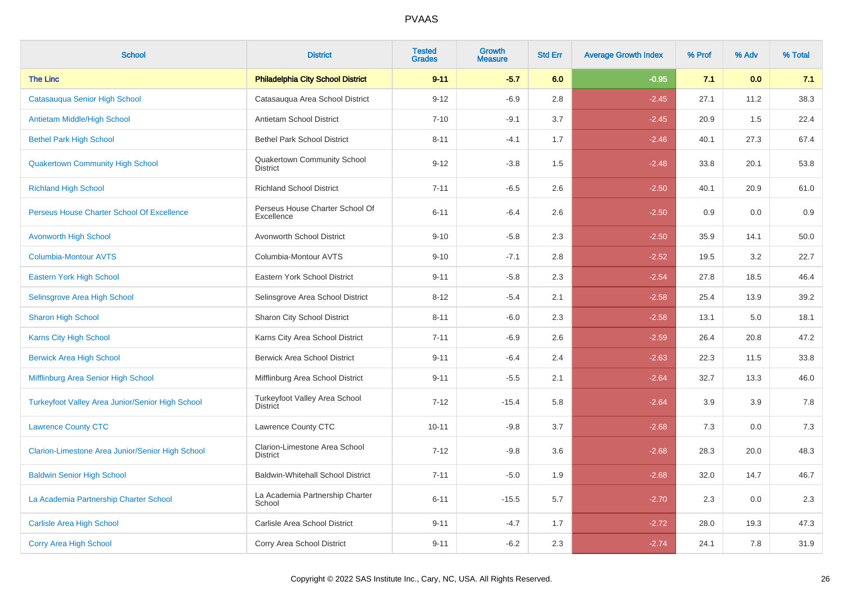| <b>School</b>                                           | <b>District</b>                                  | <b>Tested</b><br><b>Grades</b> | Growth<br><b>Measure</b> | <b>Std Err</b> | <b>Average Growth Index</b> | % Prof | % Adv | % Total |
|---------------------------------------------------------|--------------------------------------------------|--------------------------------|--------------------------|----------------|-----------------------------|--------|-------|---------|
| <b>The Linc</b>                                         | <b>Philadelphia City School District</b>         | $9 - 11$                       | $-5.7$                   | 6.0            | $-0.95$                     | 7.1    | 0.0   | 7.1     |
| Catasauqua Senior High School                           | Catasauqua Area School District                  | $9 - 12$                       | $-6.9$                   | 2.8            | $-2.45$                     | 27.1   | 11.2  | 38.3    |
| Antietam Middle/High School                             | Antietam School District                         | $7 - 10$                       | $-9.1$                   | 3.7            | $-2.45$                     | 20.9   | 1.5   | 22.4    |
| <b>Bethel Park High School</b>                          | <b>Bethel Park School District</b>               | $8 - 11$                       | $-4.1$                   | 1.7            | $-2.46$                     | 40.1   | 27.3  | 67.4    |
| <b>Quakertown Community High School</b>                 | Quakertown Community School<br><b>District</b>   | $9 - 12$                       | $-3.8$                   | 1.5            | $-2.48$                     | 33.8   | 20.1  | 53.8    |
| <b>Richland High School</b>                             | <b>Richland School District</b>                  | $7 - 11$                       | $-6.5$                   | 2.6            | $-2.50$                     | 40.1   | 20.9  | 61.0    |
| Perseus House Charter School Of Excellence              | Perseus House Charter School Of<br>Excellence    | $6 - 11$                       | $-6.4$                   | 2.6            | $-2.50$                     | 0.9    | 0.0   | 0.9     |
| <b>Avonworth High School</b>                            | Avonworth School District                        | $9 - 10$                       | $-5.8$                   | 2.3            | $-2.50$                     | 35.9   | 14.1  | 50.0    |
| <b>Columbia-Montour AVTS</b>                            | Columbia-Montour AVTS                            | $9 - 10$                       | $-7.1$                   | 2.8            | $-2.52$                     | 19.5   | 3.2   | 22.7    |
| Eastern York High School                                | Eastern York School District                     | $9 - 11$                       | $-5.8$                   | 2.3            | $-2.54$                     | 27.8   | 18.5  | 46.4    |
| Selinsgrove Area High School                            | Selinsgrove Area School District                 | $8 - 12$                       | $-5.4$                   | 2.1            | $-2.58$                     | 25.4   | 13.9  | 39.2    |
| <b>Sharon High School</b>                               | Sharon City School District                      | $8 - 11$                       | $-6.0$                   | 2.3            | $-2.58$                     | 13.1   | 5.0   | 18.1    |
| <b>Karns City High School</b>                           | Karns City Area School District                  | $7 - 11$                       | $-6.9$                   | 2.6            | $-2.59$                     | 26.4   | 20.8  | 47.2    |
| <b>Berwick Area High School</b>                         | <b>Berwick Area School District</b>              | $9 - 11$                       | $-6.4$                   | 2.4            | $-2.63$                     | 22.3   | 11.5  | 33.8    |
| Mifflinburg Area Senior High School                     | Mifflinburg Area School District                 | $9 - 11$                       | $-5.5$                   | 2.1            | $-2.64$                     | 32.7   | 13.3  | 46.0    |
| <b>Turkeyfoot Valley Area Junior/Senior High School</b> | Turkeyfoot Valley Area School<br><b>District</b> | $7 - 12$                       | $-15.4$                  | 5.8            | $-2.64$                     | 3.9    | 3.9   | 7.8     |
| <b>Lawrence County CTC</b>                              | Lawrence County CTC                              | $10 - 11$                      | $-9.8$                   | 3.7            | $-2.68$                     | 7.3    | 0.0   | $7.3$   |
| Clarion-Limestone Area Junior/Senior High School        | Clarion-Limestone Area School<br><b>District</b> | $7 - 12$                       | $-9.8$                   | 3.6            | $-2.68$                     | 28.3   | 20.0  | 48.3    |
| <b>Baldwin Senior High School</b>                       | <b>Baldwin-Whitehall School District</b>         | $7 - 11$                       | $-5.0$                   | 1.9            | $-2.68$                     | 32.0   | 14.7  | 46.7    |
| La Academia Partnership Charter School                  | La Academia Partnership Charter<br>School        | $6 - 11$                       | $-15.5$                  | 5.7            | $-2.70$                     | 2.3    | 0.0   | 2.3     |
| <b>Carlisle Area High School</b>                        | Carlisle Area School District                    | $9 - 11$                       | $-4.7$                   | 1.7            | $-2.72$                     | 28.0   | 19.3  | 47.3    |
| <b>Corry Area High School</b>                           | Corry Area School District                       | $9 - 11$                       | $-6.2$                   | 2.3            | $-2.74$                     | 24.1   | 7.8   | 31.9    |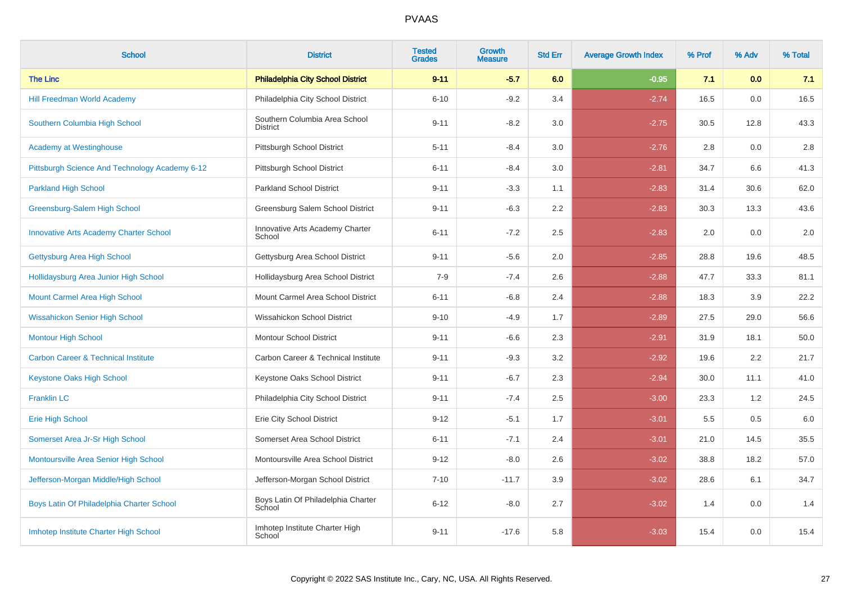| <b>School</b>                                  | <b>District</b>                                  | <b>Tested</b><br><b>Grades</b> | Growth<br><b>Measure</b> | <b>Std Err</b> | <b>Average Growth Index</b> | % Prof | % Adv | % Total |
|------------------------------------------------|--------------------------------------------------|--------------------------------|--------------------------|----------------|-----------------------------|--------|-------|---------|
| <b>The Linc</b>                                | <b>Philadelphia City School District</b>         | $9 - 11$                       | $-5.7$                   | 6.0            | $-0.95$                     | 7.1    | 0.0   | 7.1     |
| <b>Hill Freedman World Academy</b>             | Philadelphia City School District                | $6 - 10$                       | $-9.2$                   | 3.4            | $-2.74$                     | 16.5   | 0.0   | 16.5    |
| Southern Columbia High School                  | Southern Columbia Area School<br><b>District</b> | $9 - 11$                       | $-8.2$                   | 3.0            | $-2.75$                     | 30.5   | 12.8  | 43.3    |
| <b>Academy at Westinghouse</b>                 | Pittsburgh School District                       | $5 - 11$                       | $-8.4$                   | 3.0            | $-2.76$                     | 2.8    | 0.0   | 2.8     |
| Pittsburgh Science And Technology Academy 6-12 | Pittsburgh School District                       | $6 - 11$                       | $-8.4$                   | 3.0            | $-2.81$                     | 34.7   | 6.6   | 41.3    |
| <b>Parkland High School</b>                    | <b>Parkland School District</b>                  | $9 - 11$                       | $-3.3$                   | 1.1            | $-2.83$                     | 31.4   | 30.6  | 62.0    |
| Greensburg-Salem High School                   | Greensburg Salem School District                 | $9 - 11$                       | $-6.3$                   | 2.2            | $-2.83$                     | 30.3   | 13.3  | 43.6    |
| <b>Innovative Arts Academy Charter School</b>  | Innovative Arts Academy Charter<br>School        | $6 - 11$                       | $-7.2$                   | 2.5            | $-2.83$                     | 2.0    | 0.0   | $2.0\,$ |
| Gettysburg Area High School                    | Gettysburg Area School District                  | $9 - 11$                       | $-5.6$                   | 2.0            | $-2.85$                     | 28.8   | 19.6  | 48.5    |
| Hollidaysburg Area Junior High School          | Hollidaysburg Area School District               | $7 - 9$                        | $-7.4$                   | 2.6            | $-2.88$                     | 47.7   | 33.3  | 81.1    |
| Mount Carmel Area High School                  | Mount Carmel Area School District                | $6 - 11$                       | $-6.8$                   | 2.4            | $-2.88$                     | 18.3   | 3.9   | 22.2    |
| <b>Wissahickon Senior High School</b>          | Wissahickon School District                      | $9 - 10$                       | $-4.9$                   | 1.7            | $-2.89$                     | 27.5   | 29.0  | 56.6    |
| <b>Montour High School</b>                     | <b>Montour School District</b>                   | $9 - 11$                       | $-6.6$                   | 2.3            | $-2.91$                     | 31.9   | 18.1  | 50.0    |
| <b>Carbon Career &amp; Technical Institute</b> | Carbon Career & Technical Institute              | $9 - 11$                       | $-9.3$                   | 3.2            | $-2.92$                     | 19.6   | 2.2   | 21.7    |
| <b>Keystone Oaks High School</b>               | Keystone Oaks School District                    | $9 - 11$                       | $-6.7$                   | 2.3            | $-2.94$                     | 30.0   | 11.1  | 41.0    |
| <b>Franklin LC</b>                             | Philadelphia City School District                | $9 - 11$                       | $-7.4$                   | 2.5            | $-3.00$                     | 23.3   | 1.2   | 24.5    |
| <b>Erie High School</b>                        | Erie City School District                        | $9 - 12$                       | $-5.1$                   | 1.7            | $-3.01$                     | 5.5    | 0.5   | 6.0     |
| Somerset Area Jr-Sr High School                | Somerset Area School District                    | $6 - 11$                       | $-7.1$                   | 2.4            | $-3.01$                     | 21.0   | 14.5  | 35.5    |
| Montoursville Area Senior High School          | Montoursville Area School District               | $9 - 12$                       | $-8.0$                   | 2.6            | $-3.02$                     | 38.8   | 18.2  | 57.0    |
| Jefferson-Morgan Middle/High School            | Jefferson-Morgan School District                 | $7 - 10$                       | $-11.7$                  | 3.9            | $-3.02$                     | 28.6   | 6.1   | 34.7    |
| Boys Latin Of Philadelphia Charter School      | Boys Latin Of Philadelphia Charter<br>School     | $6 - 12$                       | $-8.0$                   | 2.7            | $-3.02$                     | 1.4    | 0.0   | 1.4     |
| Imhotep Institute Charter High School          | Imhotep Institute Charter High<br>School         | $9 - 11$                       | $-17.6$                  | 5.8            | $-3.03$                     | 15.4   | 0.0   | 15.4    |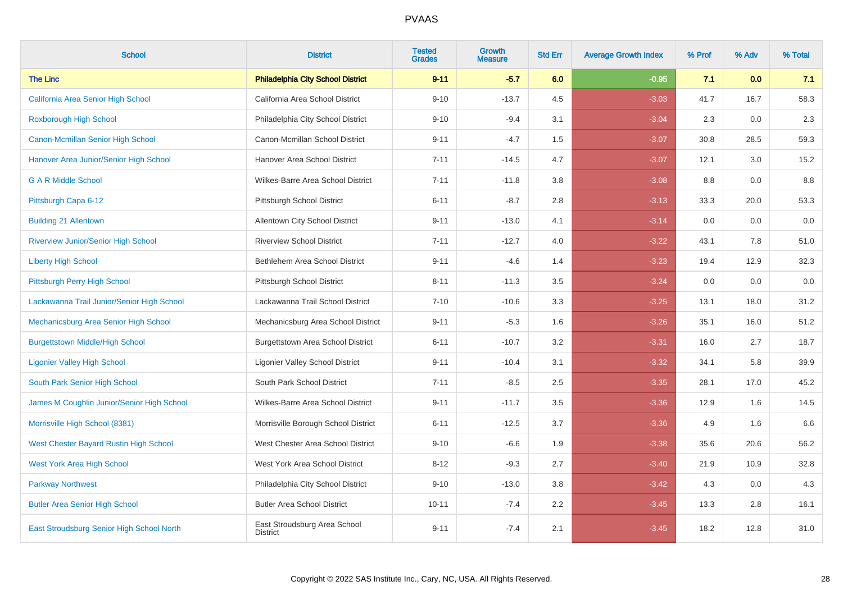| <b>School</b>                              | <b>District</b>                                 | <b>Tested</b><br><b>Grades</b> | Growth<br><b>Measure</b> | <b>Std Err</b> | <b>Average Growth Index</b> | % Prof | % Adv | % Total |
|--------------------------------------------|-------------------------------------------------|--------------------------------|--------------------------|----------------|-----------------------------|--------|-------|---------|
| <b>The Linc</b>                            | <b>Philadelphia City School District</b>        | $9 - 11$                       | $-5.7$                   | 6.0            | $-0.95$                     | 7.1    | 0.0   | 7.1     |
| California Area Senior High School         | California Area School District                 | $9 - 10$                       | $-13.7$                  | 4.5            | $-3.03$                     | 41.7   | 16.7  | 58.3    |
| <b>Roxborough High School</b>              | Philadelphia City School District               | $9 - 10$                       | $-9.4$                   | 3.1            | $-3.04$                     | 2.3    | 0.0   | 2.3     |
| Canon-Mcmillan Senior High School          | Canon-Mcmillan School District                  | $9 - 11$                       | $-4.7$                   | 1.5            | $-3.07$                     | 30.8   | 28.5  | 59.3    |
| Hanover Area Junior/Senior High School     | Hanover Area School District                    | $7 - 11$                       | $-14.5$                  | 4.7            | $-3.07$                     | 12.1   | 3.0   | 15.2    |
| <b>G A R Middle School</b>                 | Wilkes-Barre Area School District               | $7 - 11$                       | $-11.8$                  | 3.8            | $-3.08$                     | 8.8    | 0.0   | 8.8     |
| Pittsburgh Capa 6-12                       | Pittsburgh School District                      | $6 - 11$                       | $-8.7$                   | 2.8            | $-3.13$                     | 33.3   | 20.0  | 53.3    |
| <b>Building 21 Allentown</b>               | Allentown City School District                  | $9 - 11$                       | $-13.0$                  | 4.1            | $-3.14$                     | 0.0    | 0.0   | 0.0     |
| Riverview Junior/Senior High School        | <b>Riverview School District</b>                | $7 - 11$                       | $-12.7$                  | 4.0            | $-3.22$                     | 43.1   | 7.8   | 51.0    |
| <b>Liberty High School</b>                 | Bethlehem Area School District                  | $9 - 11$                       | $-4.6$                   | 1.4            | $-3.23$                     | 19.4   | 12.9  | 32.3    |
| Pittsburgh Perry High School               | Pittsburgh School District                      | $8 - 11$                       | $-11.3$                  | 3.5            | $-3.24$                     | 0.0    | 0.0   | 0.0     |
| Lackawanna Trail Junior/Senior High School | Lackawanna Trail School District                | $7 - 10$                       | $-10.6$                  | 3.3            | $-3.25$                     | 13.1   | 18.0  | 31.2    |
| Mechanicsburg Area Senior High School      | Mechanicsburg Area School District              | $9 - 11$                       | $-5.3$                   | 1.6            | $-3.26$                     | 35.1   | 16.0  | 51.2    |
| <b>Burgettstown Middle/High School</b>     | Burgettstown Area School District               | $6 - 11$                       | $-10.7$                  | 3.2            | $-3.31$                     | 16.0   | 2.7   | 18.7    |
| <b>Ligonier Valley High School</b>         | <b>Ligonier Valley School District</b>          | $9 - 11$                       | $-10.4$                  | 3.1            | $-3.32$                     | 34.1   | 5.8   | 39.9    |
| South Park Senior High School              | South Park School District                      | $7 - 11$                       | $-8.5$                   | 2.5            | $-3.35$                     | 28.1   | 17.0  | 45.2    |
| James M Coughlin Junior/Senior High School | Wilkes-Barre Area School District               | $9 - 11$                       | $-11.7$                  | 3.5            | $-3.36$                     | 12.9   | 1.6   | 14.5    |
| Morrisville High School (8381)             | Morrisville Borough School District             | $6 - 11$                       | $-12.5$                  | 3.7            | $-3.36$                     | 4.9    | 1.6   | 6.6     |
| West Chester Bayard Rustin High School     | West Chester Area School District               | $9 - 10$                       | $-6.6$                   | 1.9            | $-3.38$                     | 35.6   | 20.6  | 56.2    |
| <b>West York Area High School</b>          | West York Area School District                  | $8 - 12$                       | $-9.3$                   | 2.7            | $-3.40$                     | 21.9   | 10.9  | 32.8    |
| <b>Parkway Northwest</b>                   | Philadelphia City School District               | $9 - 10$                       | $-13.0$                  | 3.8            | $-3.42$                     | 4.3    | 0.0   | 4.3     |
| <b>Butler Area Senior High School</b>      | <b>Butler Area School District</b>              | $10 - 11$                      | $-7.4$                   | 2.2            | $-3.45$                     | 13.3   | 2.8   | 16.1    |
| East Stroudsburg Senior High School North  | East Stroudsburg Area School<br><b>District</b> | $9 - 11$                       | $-7.4$                   | 2.1            | $-3.45$                     | 18.2   | 12.8  | 31.0    |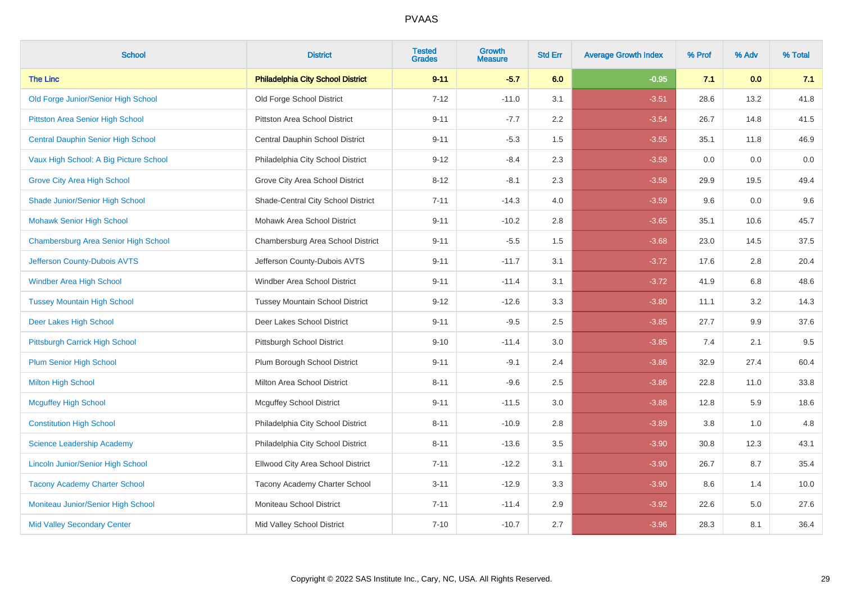| <b>School</b>                             | <b>District</b>                          | <b>Tested</b><br><b>Grades</b> | <b>Growth</b><br><b>Measure</b> | <b>Std Err</b> | <b>Average Growth Index</b> | % Prof | % Adv | % Total |
|-------------------------------------------|------------------------------------------|--------------------------------|---------------------------------|----------------|-----------------------------|--------|-------|---------|
| <b>The Linc</b>                           | <b>Philadelphia City School District</b> | $9 - 11$                       | $-5.7$                          | 6.0            | $-0.95$                     | 7.1    | 0.0   | 7.1     |
| Old Forge Junior/Senior High School       | Old Forge School District                | $7 - 12$                       | $-11.0$                         | 3.1            | $-3.51$                     | 28.6   | 13.2  | 41.8    |
| Pittston Area Senior High School          | Pittston Area School District            | $9 - 11$                       | $-7.7$                          | 2.2            | $-3.54$                     | 26.7   | 14.8  | 41.5    |
| <b>Central Dauphin Senior High School</b> | Central Dauphin School District          | $9 - 11$                       | $-5.3$                          | 1.5            | $-3.55$                     | 35.1   | 11.8  | 46.9    |
| Vaux High School: A Big Picture School    | Philadelphia City School District        | $9 - 12$                       | $-8.4$                          | 2.3            | $-3.58$                     | 0.0    | 0.0   | $0.0\,$ |
| <b>Grove City Area High School</b>        | Grove City Area School District          | $8 - 12$                       | $-8.1$                          | 2.3            | $-3.58$                     | 29.9   | 19.5  | 49.4    |
| Shade Junior/Senior High School           | Shade-Central City School District       | $7 - 11$                       | $-14.3$                         | 4.0            | $-3.59$                     | 9.6    | 0.0   | $9.6\,$ |
| <b>Mohawk Senior High School</b>          | Mohawk Area School District              | $9 - 11$                       | $-10.2$                         | 2.8            | $-3.65$                     | 35.1   | 10.6  | 45.7    |
| Chambersburg Area Senior High School      | Chambersburg Area School District        | $9 - 11$                       | $-5.5$                          | 1.5            | $-3.68$                     | 23.0   | 14.5  | 37.5    |
| Jefferson County-Dubois AVTS              | Jefferson County-Dubois AVTS             | $9 - 11$                       | $-11.7$                         | 3.1            | $-3.72$                     | 17.6   | 2.8   | 20.4    |
| <b>Windber Area High School</b>           | Windber Area School District             | $9 - 11$                       | $-11.4$                         | 3.1            | $-3.72$                     | 41.9   | 6.8   | 48.6    |
| <b>Tussey Mountain High School</b>        | <b>Tussey Mountain School District</b>   | $9 - 12$                       | $-12.6$                         | 3.3            | $-3.80$                     | 11.1   | 3.2   | 14.3    |
| Deer Lakes High School                    | Deer Lakes School District               | $9 - 11$                       | $-9.5$                          | 2.5            | $-3.85$                     | 27.7   | 9.9   | 37.6    |
| Pittsburgh Carrick High School            | Pittsburgh School District               | $9 - 10$                       | $-11.4$                         | 3.0            | $-3.85$                     | 7.4    | 2.1   | 9.5     |
| <b>Plum Senior High School</b>            | Plum Borough School District             | $9 - 11$                       | $-9.1$                          | 2.4            | $-3.86$                     | 32.9   | 27.4  | 60.4    |
| <b>Milton High School</b>                 | Milton Area School District              | $8 - 11$                       | $-9.6$                          | 2.5            | $-3.86$                     | 22.8   | 11.0  | 33.8    |
| <b>Mcguffey High School</b>               | <b>Mcguffey School District</b>          | $9 - 11$                       | $-11.5$                         | 3.0            | $-3.88$                     | 12.8   | 5.9   | 18.6    |
| <b>Constitution High School</b>           | Philadelphia City School District        | $8 - 11$                       | $-10.9$                         | 2.8            | $-3.89$                     | 3.8    | 1.0   | 4.8     |
| <b>Science Leadership Academy</b>         | Philadelphia City School District        | $8 - 11$                       | $-13.6$                         | 3.5            | $-3.90$                     | 30.8   | 12.3  | 43.1    |
| <b>Lincoln Junior/Senior High School</b>  | Ellwood City Area School District        | $7 - 11$                       | $-12.2$                         | 3.1            | $-3.90$                     | 26.7   | 8.7   | 35.4    |
| <b>Tacony Academy Charter School</b>      | Tacony Academy Charter School            | $3 - 11$                       | $-12.9$                         | 3.3            | $-3.90$                     | 8.6    | 1.4   | 10.0    |
| Moniteau Junior/Senior High School        | Moniteau School District                 | $7 - 11$                       | $-11.4$                         | 2.9            | $-3.92$                     | 22.6   | 5.0   | 27.6    |
| <b>Mid Valley Secondary Center</b>        | Mid Valley School District               | $7 - 10$                       | $-10.7$                         | 2.7            | $-3.96$                     | 28.3   | 8.1   | 36.4    |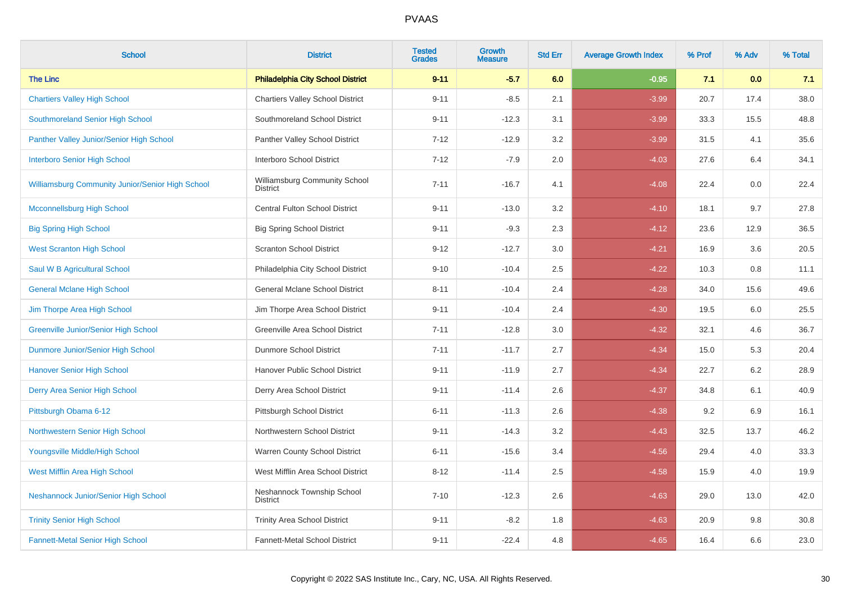| <b>School</b>                                    | <b>District</b>                                  | <b>Tested</b><br><b>Grades</b> | Growth<br><b>Measure</b> | <b>Std Err</b> | <b>Average Growth Index</b> | % Prof | % Adv | % Total |
|--------------------------------------------------|--------------------------------------------------|--------------------------------|--------------------------|----------------|-----------------------------|--------|-------|---------|
| <b>The Linc</b>                                  | <b>Philadelphia City School District</b>         | $9 - 11$                       | $-5.7$                   | 6.0            | $-0.95$                     | 7.1    | 0.0   | 7.1     |
| <b>Chartiers Valley High School</b>              | <b>Chartiers Valley School District</b>          | $9 - 11$                       | $-8.5$                   | 2.1            | $-3.99$                     | 20.7   | 17.4  | 38.0    |
| Southmoreland Senior High School                 | Southmoreland School District                    | $9 - 11$                       | $-12.3$                  | 3.1            | $-3.99$                     | 33.3   | 15.5  | 48.8    |
| Panther Valley Junior/Senior High School         | Panther Valley School District                   | $7 - 12$                       | $-12.9$                  | 3.2            | $-3.99$                     | 31.5   | 4.1   | 35.6    |
| <b>Interboro Senior High School</b>              | Interboro School District                        | $7 - 12$                       | $-7.9$                   | 2.0            | $-4.03$                     | 27.6   | 6.4   | 34.1    |
| Williamsburg Community Junior/Senior High School | Williamsburg Community School<br><b>District</b> | $7 - 11$                       | $-16.7$                  | 4.1            | $-4.08$                     | 22.4   | 0.0   | 22.4    |
| <b>Mcconnellsburg High School</b>                | <b>Central Fulton School District</b>            | $9 - 11$                       | $-13.0$                  | 3.2            | $-4.10$                     | 18.1   | 9.7   | 27.8    |
| <b>Big Spring High School</b>                    | <b>Big Spring School District</b>                | $9 - 11$                       | $-9.3$                   | 2.3            | $-4.12$                     | 23.6   | 12.9  | 36.5    |
| <b>West Scranton High School</b>                 | <b>Scranton School District</b>                  | $9 - 12$                       | $-12.7$                  | 3.0            | $-4.21$                     | 16.9   | 3.6   | 20.5    |
| Saul W B Agricultural School                     | Philadelphia City School District                | $9 - 10$                       | $-10.4$                  | 2.5            | $-4.22$                     | 10.3   | 0.8   | 11.1    |
| <b>General Mclane High School</b>                | General Mclane School District                   | $8 - 11$                       | $-10.4$                  | 2.4            | $-4.28$                     | 34.0   | 15.6  | 49.6    |
| Jim Thorpe Area High School                      | Jim Thorpe Area School District                  | $9 - 11$                       | $-10.4$                  | 2.4            | $-4.30$                     | 19.5   | 6.0   | 25.5    |
| <b>Greenville Junior/Senior High School</b>      | Greenville Area School District                  | $7 - 11$                       | $-12.8$                  | 3.0            | $-4.32$                     | 32.1   | 4.6   | 36.7    |
| Dunmore Junior/Senior High School                | Dunmore School District                          | $7 - 11$                       | $-11.7$                  | 2.7            | $-4.34$                     | 15.0   | 5.3   | 20.4    |
| <b>Hanover Senior High School</b>                | Hanover Public School District                   | $9 - 11$                       | $-11.9$                  | 2.7            | $-4.34$                     | 22.7   | 6.2   | 28.9    |
| Derry Area Senior High School                    | Derry Area School District                       | $9 - 11$                       | $-11.4$                  | 2.6            | $-4.37$                     | 34.8   | 6.1   | 40.9    |
| Pittsburgh Obama 6-12                            | Pittsburgh School District                       | $6 - 11$                       | $-11.3$                  | 2.6            | $-4.38$                     | 9.2    | 6.9   | 16.1    |
| Northwestern Senior High School                  | Northwestern School District                     | $9 - 11$                       | $-14.3$                  | 3.2            | $-4.43$                     | 32.5   | 13.7  | 46.2    |
| Youngsville Middle/High School                   | Warren County School District                    | $6 - 11$                       | $-15.6$                  | 3.4            | $-4.56$                     | 29.4   | 4.0   | 33.3    |
| West Mifflin Area High School                    | West Mifflin Area School District                | $8 - 12$                       | $-11.4$                  | 2.5            | $-4.58$                     | 15.9   | 4.0   | 19.9    |
| Neshannock Junior/Senior High School             | Neshannock Township School<br><b>District</b>    | $7 - 10$                       | $-12.3$                  | 2.6            | $-4.63$                     | 29.0   | 13.0  | 42.0    |
| <b>Trinity Senior High School</b>                | <b>Trinity Area School District</b>              | $9 - 11$                       | $-8.2$                   | 1.8            | $-4.63$                     | 20.9   | 9.8   | 30.8    |
| <b>Fannett-Metal Senior High School</b>          | Fannett-Metal School District                    | $9 - 11$                       | $-22.4$                  | 4.8            | $-4.65$                     | 16.4   | 6.6   | 23.0    |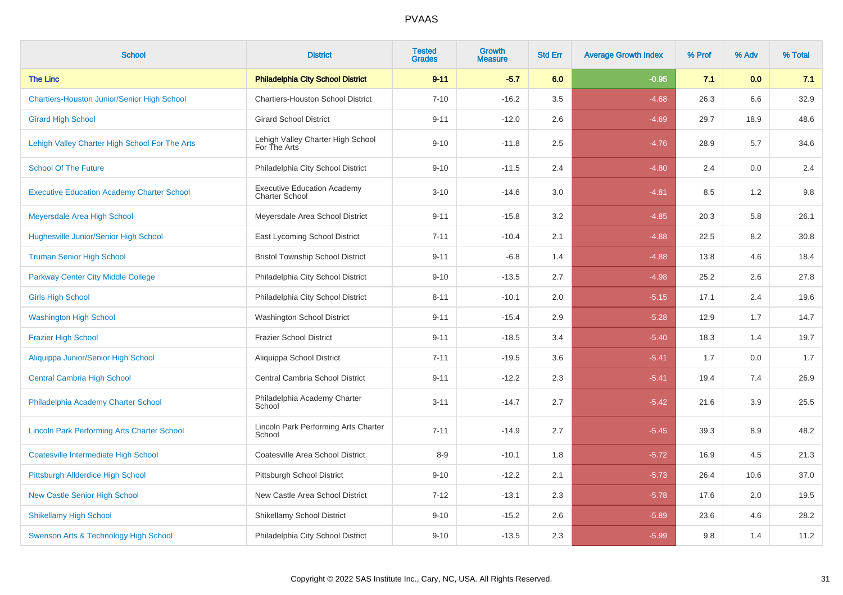| <b>School</b>                                      | <b>District</b>                                             | <b>Tested</b><br><b>Grades</b> | <b>Growth</b><br><b>Measure</b> | <b>Std Err</b> | <b>Average Growth Index</b> | % Prof | % Adv | % Total |
|----------------------------------------------------|-------------------------------------------------------------|--------------------------------|---------------------------------|----------------|-----------------------------|--------|-------|---------|
| <b>The Linc</b>                                    | <b>Philadelphia City School District</b>                    | $9 - 11$                       | $-5.7$                          | 6.0            | $-0.95$                     | 7.1    | 0.0   | 7.1     |
| <b>Chartiers-Houston Junior/Senior High School</b> | <b>Chartiers-Houston School District</b>                    | $7 - 10$                       | $-16.2$                         | 3.5            | $-4.68$                     | 26.3   | 6.6   | 32.9    |
| <b>Girard High School</b>                          | <b>Girard School District</b>                               | $9 - 11$                       | $-12.0$                         | 2.6            | $-4.69$                     | 29.7   | 18.9  | 48.6    |
| Lehigh Valley Charter High School For The Arts     | Lehigh Valley Charter High School<br>For The Arts           | $9 - 10$                       | $-11.8$                         | 2.5            | $-4.76$                     | 28.9   | 5.7   | 34.6    |
| <b>School Of The Future</b>                        | Philadelphia City School District                           | $9 - 10$                       | $-11.5$                         | 2.4            | $-4.80$                     | 2.4    | 0.0   | 2.4     |
| <b>Executive Education Academy Charter School</b>  | <b>Executive Education Academy</b><br><b>Charter School</b> | $3 - 10$                       | $-14.6$                         | 3.0            | $-4.81$                     | 8.5    | 1.2   | $9.8\,$ |
| Meyersdale Area High School                        | Meyersdale Area School District                             | $9 - 11$                       | $-15.8$                         | 3.2            | $-4.85$                     | 20.3   | 5.8   | 26.1    |
| <b>Hughesville Junior/Senior High School</b>       | East Lycoming School District                               | $7 - 11$                       | $-10.4$                         | 2.1            | $-4.88$                     | 22.5   | 8.2   | 30.8    |
| <b>Truman Senior High School</b>                   | <b>Bristol Township School District</b>                     | $9 - 11$                       | $-6.8$                          | 1.4            | $-4.88$                     | 13.8   | 4.6   | 18.4    |
| <b>Parkway Center City Middle College</b>          | Philadelphia City School District                           | $9 - 10$                       | $-13.5$                         | 2.7            | $-4.98$                     | 25.2   | 2.6   | 27.8    |
| <b>Girls High School</b>                           | Philadelphia City School District                           | $8 - 11$                       | $-10.1$                         | 2.0            | $-5.15$                     | 17.1   | 2.4   | 19.6    |
| <b>Washington High School</b>                      | Washington School District                                  | $9 - 11$                       | $-15.4$                         | 2.9            | $-5.28$                     | 12.9   | 1.7   | 14.7    |
| <b>Frazier High School</b>                         | <b>Frazier School District</b>                              | $9 - 11$                       | $-18.5$                         | 3.4            | $-5.40$                     | 18.3   | 1.4   | 19.7    |
| Aliquippa Junior/Senior High School                | Aliquippa School District                                   | $7 - 11$                       | $-19.5$                         | 3.6            | $-5.41$                     | 1.7    | 0.0   | 1.7     |
| <b>Central Cambria High School</b>                 | Central Cambria School District                             | $9 - 11$                       | $-12.2$                         | 2.3            | $-5.41$                     | 19.4   | 7.4   | 26.9    |
| Philadelphia Academy Charter School                | Philadelphia Academy Charter<br>School                      | $3 - 11$                       | $-14.7$                         | 2.7            | $-5.42$                     | 21.6   | 3.9   | 25.5    |
| <b>Lincoln Park Performing Arts Charter School</b> | Lincoln Park Performing Arts Charter<br>School              | $7 - 11$                       | $-14.9$                         | 2.7            | $-5.45$                     | 39.3   | 8.9   | 48.2    |
| <b>Coatesville Intermediate High School</b>        | Coatesville Area School District                            | $8-9$                          | $-10.1$                         | 1.8            | $-5.72$                     | 16.9   | 4.5   | 21.3    |
| Pittsburgh Allderdice High School                  | Pittsburgh School District                                  | $9 - 10$                       | $-12.2$                         | 2.1            | $-5.73$                     | 26.4   | 10.6  | 37.0    |
| <b>New Castle Senior High School</b>               | New Castle Area School District                             | $7 - 12$                       | $-13.1$                         | 2.3            | $-5.78$                     | 17.6   | 2.0   | 19.5    |
| <b>Shikellamy High School</b>                      | <b>Shikellamy School District</b>                           | $9 - 10$                       | $-15.2$                         | 2.6            | $-5.89$                     | 23.6   | 4.6   | 28.2    |
| Swenson Arts & Technology High School              | Philadelphia City School District                           | $9 - 10$                       | $-13.5$                         | 2.3            | $-5.99$                     | 9.8    | 1.4   | 11.2    |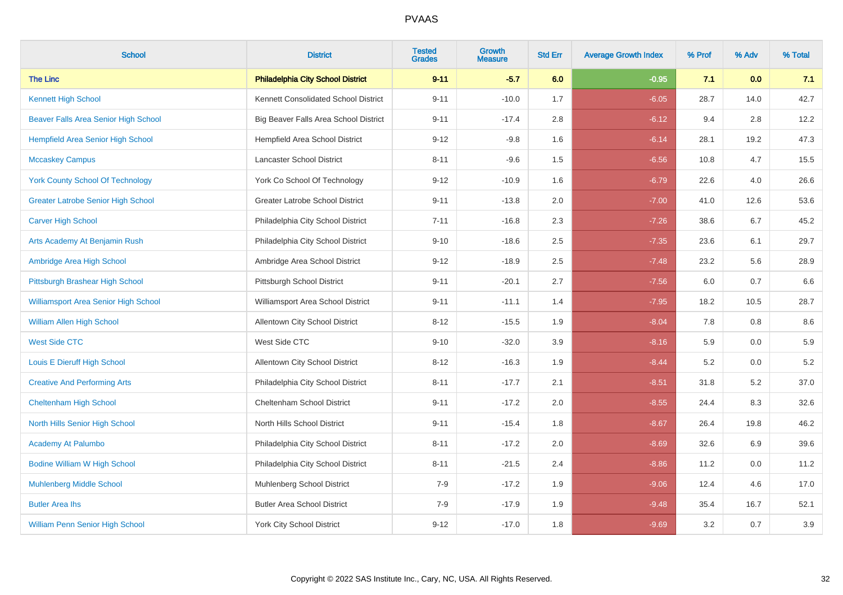| <b>School</b>                               | <b>District</b>                          | <b>Tested</b><br><b>Grades</b> | Growth<br><b>Measure</b> | <b>Std Err</b> | <b>Average Growth Index</b> | % Prof | % Adv | % Total |
|---------------------------------------------|------------------------------------------|--------------------------------|--------------------------|----------------|-----------------------------|--------|-------|---------|
| <b>The Linc</b>                             | <b>Philadelphia City School District</b> | $9 - 11$                       | $-5.7$                   | 6.0            | $-0.95$                     | 7.1    | 0.0   | 7.1     |
| <b>Kennett High School</b>                  | Kennett Consolidated School District     | $9 - 11$                       | $-10.0$                  | 1.7            | $-6.05$                     | 28.7   | 14.0  | 42.7    |
| Beaver Falls Area Senior High School        | Big Beaver Falls Area School District    | $9 - 11$                       | $-17.4$                  | 2.8            | $-6.12$                     | 9.4    | 2.8   | 12.2    |
| <b>Hempfield Area Senior High School</b>    | Hempfield Area School District           | $9 - 12$                       | $-9.8$                   | 1.6            | $-6.14$                     | 28.1   | 19.2  | 47.3    |
| <b>Mccaskey Campus</b>                      | Lancaster School District                | $8 - 11$                       | $-9.6$                   | 1.5            | $-6.56$                     | 10.8   | 4.7   | 15.5    |
| <b>York County School Of Technology</b>     | York Co School Of Technology             | $9 - 12$                       | $-10.9$                  | 1.6            | $-6.79$                     | 22.6   | 4.0   | 26.6    |
| <b>Greater Latrobe Senior High School</b>   | Greater Latrobe School District          | $9 - 11$                       | $-13.8$                  | 2.0            | $-7.00$                     | 41.0   | 12.6  | 53.6    |
| <b>Carver High School</b>                   | Philadelphia City School District        | $7 - 11$                       | $-16.8$                  | 2.3            | $-7.26$                     | 38.6   | 6.7   | 45.2    |
| Arts Academy At Benjamin Rush               | Philadelphia City School District        | $9 - 10$                       | $-18.6$                  | 2.5            | $-7.35$                     | 23.6   | 6.1   | 29.7    |
| Ambridge Area High School                   | Ambridge Area School District            | $9 - 12$                       | $-18.9$                  | 2.5            | $-7.48$                     | 23.2   | 5.6   | 28.9    |
| Pittsburgh Brashear High School             | Pittsburgh School District               | $9 - 11$                       | $-20.1$                  | 2.7            | $-7.56$                     | 6.0    | 0.7   | 6.6     |
| <b>Williamsport Area Senior High School</b> | Williamsport Area School District        | $9 - 11$                       | $-11.1$                  | 1.4            | $-7.95$                     | 18.2   | 10.5  | 28.7    |
| <b>William Allen High School</b>            | Allentown City School District           | $8 - 12$                       | $-15.5$                  | 1.9            | $-8.04$                     | 7.8    | 0.8   | $8.6\,$ |
| <b>West Side CTC</b>                        | West Side CTC                            | $9 - 10$                       | $-32.0$                  | 3.9            | $-8.16$                     | 5.9    | 0.0   | 5.9     |
| Louis E Dieruff High School                 | <b>Allentown City School District</b>    | $8 - 12$                       | $-16.3$                  | 1.9            | $-8.44$                     | 5.2    | 0.0   | $5.2\,$ |
| <b>Creative And Performing Arts</b>         | Philadelphia City School District        | $8 - 11$                       | $-17.7$                  | 2.1            | $-8.51$                     | 31.8   | 5.2   | 37.0    |
| <b>Cheltenham High School</b>               | Cheltenham School District               | $9 - 11$                       | $-17.2$                  | $2.0\,$        | $-8.55$                     | 24.4   | 8.3   | 32.6    |
| North Hills Senior High School              | North Hills School District              | $9 - 11$                       | $-15.4$                  | 1.8            | $-8.67$                     | 26.4   | 19.8  | 46.2    |
| <b>Academy At Palumbo</b>                   | Philadelphia City School District        | $8 - 11$                       | $-17.2$                  | 2.0            | $-8.69$                     | 32.6   | 6.9   | 39.6    |
| <b>Bodine William W High School</b>         | Philadelphia City School District        | $8 - 11$                       | $-21.5$                  | 2.4            | $-8.86$                     | 11.2   | 0.0   | 11.2    |
| <b>Muhlenberg Middle School</b>             | Muhlenberg School District               | $7-9$                          | $-17.2$                  | 1.9            | $-9.06$                     | 12.4   | 4.6   | 17.0    |
| <b>Butler Area lhs</b>                      | <b>Butler Area School District</b>       | $7-9$                          | $-17.9$                  | 1.9            | $-9.48$                     | 35.4   | 16.7  | 52.1    |
| <b>William Penn Senior High School</b>      | <b>York City School District</b>         | $9 - 12$                       | $-17.0$                  | 1.8            | $-9.69$                     | 3.2    | 0.7   | $3.9\,$ |